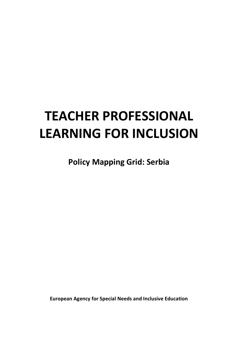# **TEACHER PROFESSIONAL LEARNING FOR INCLUSION**

**Policy Mapping Grid: Serbia**

**European Agency for Special Needs and Inclusive Education**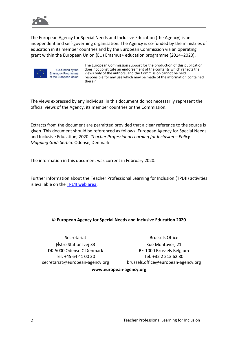

The European Agency for Special Needs and Inclusive Education (the Agency) is an independent and self-governing organisation. The Agency is co-funded by the ministries of education in its member countries and by the European Commission via an operating grant within the European Union (EU) Erasmus+ education programme (2014–2020).



Co-funded by the Erasmus+ Programme of the European Union

The European Commission support for the production of this publication does not constitute an endorsement of the contents which reflects the views only of the authors, and the Commission cannot be held responsible for any use which may be made of the information contained therein.

The views expressed by any individual in this document do not necessarily represent the official views of the Agency, its member countries or the Commission.

Extracts from the document are permitted provided that a clear reference to the source is given. This document should be referenced as follows: European Agency for Special Needs and Inclusive Education, 2020. *Teacher Professional Learning for Inclusion – Policy Mapping Grid: Serbia*. Odense, Denmark

The information in this document was current in February 2020.

Further information about the Teacher Professional Learning for Inclusion (TPL4I) activities is available on the [TPL4I web area.](https://www.european-agency.org/projects/tpl4i)

### © **European Agency for Special Needs and Inclusive Education 2020**

**Secretariat** Østre Stationsvej 33 DK-5000 Odense C Denmark Tel: +45 64 41 00 20 [secretariat@european-agency.org](mailto:secretariat@european-agency.org)

Brussels Office Rue Montoyer, 21 BE-1000 Brussels Belgium Tel: +32 2 213 62 80 [brussels.office@european-agency.org](mailto:brussels.office@european-agency.org)

#### **[www.european-agency.org](http://www.european-agency.org/)**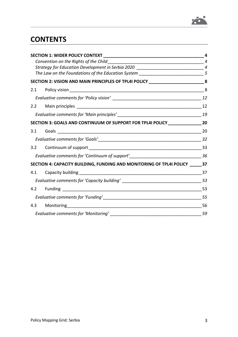

# **CONTENTS**

|     | <b>SECTION 1: WIDER POLICY CONTEXT NOTES AND RESIDENCE AND RESIDENCE</b>           | 4  |
|-----|------------------------------------------------------------------------------------|----|
|     |                                                                                    |    |
|     | Strategy for Education Development in Serbia 2020 _______________________________4 |    |
|     | The Law on the Foundations of the Education System ____________________________5   |    |
|     | SECTION 2: VISION AND MAIN PRINCIPLES OF TPL4I POLICY _________________________8   |    |
|     |                                                                                    |    |
|     |                                                                                    |    |
|     |                                                                                    |    |
|     |                                                                                    |    |
|     | SECTION 3: GOALS AND CONTINUUM OF SUPPORT FOR TPL4I POLICY_____________________20  |    |
| 3.1 |                                                                                    |    |
|     |                                                                                    |    |
|     |                                                                                    |    |
|     |                                                                                    |    |
|     | SECTION 4: CAPACITY BUILDING, FUNDING AND MONITORING OF TPL4I POLICY _____37       |    |
|     |                                                                                    |    |
|     | Evaluative comments for 'Capacity building' ___________________________________53  |    |
| 4.2 |                                                                                    |    |
|     |                                                                                    |    |
| 4.3 |                                                                                    | 56 |
|     |                                                                                    |    |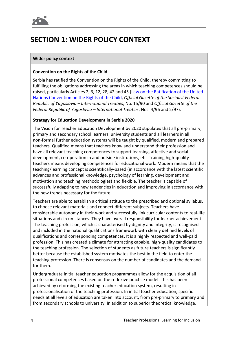# **SECTION 1: WIDER POLICY CONTEXT**

### **Wider policy context**

### **Convention on the Rights of the Child**

Serbia has ratified the Convention on the Rights of the Child, thereby committing to fulfilling the obligations addressing the areas in which teaching competences should be raised, particularly Articles 2, 3, 12, 28, 42 and 45 (Law on the Ratification of the United [Nations Convention on the Rights of the Child,](https://www.paragraf.rs/propisi/zakon_o_ratifikaciji_konvencije_ujedinjenih_nacija_o_pravima_deteta.html) *Official Gazette of the Socialist Federal Republic of Yugoslavia – International Treaties*, No. 15/90 and *Official Gazette of the Federal Republic of Yugoslavia – International Treaties*, Nos. 4/96 and 2/97).

### **Strategy for Education Development in Serbia 2020**

The Vision for Teacher Education Development by 2020 stipulates that all pre-primary, primary and secondary school learners, university students and all learners in all non-formal further education systems will be taught by qualified, modern and prepared teachers. Qualified means that teachers know and understand their profession and have all relevant teaching competences to support learning, affective and social development, co-operation in and outside institutions, etc. Training high-quality teachers means developing competences for educational work. Modern means that the teaching/learning concept is scientifically-based (in accordance with the latest scientific advances and professional knowledge, psychology of learning, development and motivation and teaching methodologies) and flexible. The teacher is capable of successfully adapting to new tendencies in education and improving in accordance with the new trends necessary for the future.

Teachers are able to establish a critical attitude to the prescribed and optional syllabus, to choose relevant materials and connect different subjects. Teachers have considerable autonomy in their work and successfully link curricular contents to real-life situations and circumstances. They have overall responsibility for learner achievement. The teaching profession, which is characterised by dignity and integrity, is recognised and included in the national qualifications framework with clearly defined levels of qualifications and corresponding competences. It is a highly respected and well-paid profession. This has created a climate for attracting capable, high-quality candidates to the teaching profession. The selection of students as future teachers is significantly better because the established system motivates the best in the field to enter the teaching profession. There is consensus on the number of candidates and the demand for them.

Undergraduate initial teacher education programmes allow for the acquisition of all professional competences based on the reflexive practice model. This has been achieved by reforming the existing teacher education system, resulting in professionalisation of the teaching profession. In initial teacher education, specific needs at all levels of education are taken into account, from pre-primary to primary and from secondary schools to university. In addition to superior theoretical knowledge,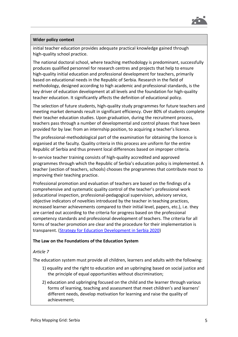

#### **Wider policy context**

initial teacher education provides adequate practical knowledge gained through high-quality school practice.

The national doctoral school, where teaching methodology is predominant, successfully produces qualified personnel for research centres and projects that help to ensure high-quality initial education and professional development for teachers, primarily based on educational needs in the Republic of Serbia. Research in the field of methodology, designed according to high academic and professional standards, is the key driver of education development at all levels and the foundation for high-quality teacher education. It significantly affects the definition of educational policy.

The selection of future students, high-quality study programmes for future teachers and meeting market demands result in significant efficiency. Over 80% of students complete their teacher education studies. Upon graduation, during the recruitment process, teachers pass through a number of developmental and control phases that have been provided for by law: from an internship position, to acquiring a teacher's licence.

The professional-methodological part of the examination for obtaining the licence is organised at the faculty. Quality criteria in this process are uniform for the entire Republic of Serbia and thus prevent local differences based on improper criteria.

In-service teacher training consists of high-quality accredited and approved programmes through which the Republic of Serbia's education policy is implemented. A teacher (section of teachers, schools) chooses the programmes that contribute most to improving their teaching practice.

Professional promotion and evaluation of teachers are based on the findings of a comprehensive and systematic quality control of the teacher's professional work (educational inspection, professional-pedagogical supervision, advisory service, objective indicators of novelties introduced by the teacher in teaching practices, increased learner achievements compared to their initial level, papers, etc.), i.e. they are carried out according to the criteria for progress based on the professional competency standards and professional development of teachers. The criteria for all forms of teacher promotion are clear and the procedure for their implementation is transparent. [\(Strategy for Education Development in Serbia 2020\)](https://erasmusplus.rs/wp-content/uploads/2015/03/Strategy-for-Education-Development-in-Serbia-2020.pdf)

#### **The Law on the Foundations of the Education System**

#### *Article 7*

The education system must provide all children, learners and adults with the following:

- 1) equality and the right to education and an upbringing based on social justice and the principle of equal opportunities without discrimination;
- 2) education and upbringing focused on the child and the learner through various forms of learning, teaching and assessment that meet children's and learners' different needs, develop motivation for learning and raise the quality of achievement;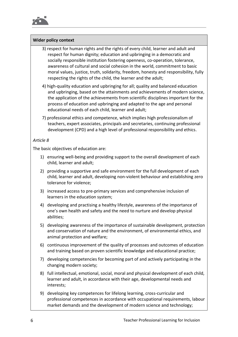

### **Wider policy context**

- 3) respect for human rights and the rights of every child, learner and adult and respect for human dignity; education and upbringing in a democratic and socially responsible institution fostering openness, co-operation, tolerance, awareness of cultural and social cohesion in the world, commitment to basic moral values, justice, truth, solidarity, freedom, honesty and responsibility, fully respecting the rights of the child, the learner and the adult;
- 4) high-quality education and upbringing for all; quality and balanced education and upbringing, based on the attainments and achievements of modern science, the application of the achievements from scientific disciplines important for the process of education and upbringing and adapted to the age and personal educational needs of each child, learner and adult;
- 7) professional ethics and competence, which implies high professionalism of teachers, expert associates, principals and secretaries, continuing professional development (CPD) and a high level of professional responsibility and ethics.

### *Article 8*

The basic objectives of education are:

- 1) ensuring well-being and providing support to the overall development of each child, learner and adult;
- 2) providing a supportive and safe environment for the full development of each child, learner and adult, developing non-violent behaviour and establishing zero tolerance for violence;
- 3) increased access to pre-primary services and comprehensive inclusion of learners in the education system;
- 4) developing and practising a healthy lifestyle, awareness of the importance of one's own health and safety and the need to nurture and develop physical abilities;
- 5) developing awareness of the importance of sustainable development, protection and conservation of nature and the environment, of environmental ethics, and animal protection and welfare;
- 6) continuous improvement of the quality of processes and outcomes of education and training based on proven scientific knowledge and educational practice;
- 7) developing competencies for becoming part of and actively participating in the changing modern society;
- 8) full intellectual, emotional, social, moral and physical development of each child, learner and adult, in accordance with their age, developmental needs and interests;
- 9) developing key competences for lifelong learning, cross-curricular and professional competences in accordance with occupational requirements, labour market demands and the development of modern science and technology;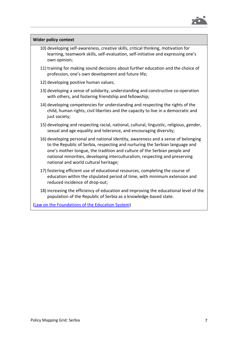

| <b>Wider policy context</b>                                                                                                                                                                                                                                                                                                                                           |  |  |
|-----------------------------------------------------------------------------------------------------------------------------------------------------------------------------------------------------------------------------------------------------------------------------------------------------------------------------------------------------------------------|--|--|
| 10) developing self-awareness, creative skills, critical thinking, motivation for<br>learning, teamwork skills, self-evaluation, self-initiative and expressing one's<br>own opinion;                                                                                                                                                                                 |  |  |
| 11) training for making sound decisions about further education and the choice of<br>profession, one's own development and future life;                                                                                                                                                                                                                               |  |  |
| 12) developing positive human values;                                                                                                                                                                                                                                                                                                                                 |  |  |
| 13) developing a sense of solidarity, understanding and constructive co-operation<br>with others, and fostering friendship and fellowship;                                                                                                                                                                                                                            |  |  |
| 14) developing competencies for understanding and respecting the rights of the<br>child, human rights, civil liberties and the capacity to live in a democratic and<br>just society;                                                                                                                                                                                  |  |  |
| 15) developing and respecting racial, national, cultural, linguistic, religious, gender,<br>sexual and age equality and tolerance, and encouraging diversity;                                                                                                                                                                                                         |  |  |
| 16) developing personal and national identity, awareness and a sense of belonging<br>to the Republic of Serbia, respecting and nurturing the Serbian language and<br>one's mother tongue, the tradition and culture of the Serbian people and<br>national minorities, developing interculturalism, respecting and preserving<br>national and world cultural heritage; |  |  |
| 17) fostering efficient use of educational resources, completing the course of<br>education within the stipulated period of time, with minimum extension and<br>reduced incidence of drop-out;                                                                                                                                                                        |  |  |
| 18) increasing the efficiency of education and improving the educational level of the<br>population of the Republic of Serbia as a knowledge-based state.                                                                                                                                                                                                             |  |  |
| (Law on the Foundations of the Education System)                                                                                                                                                                                                                                                                                                                      |  |  |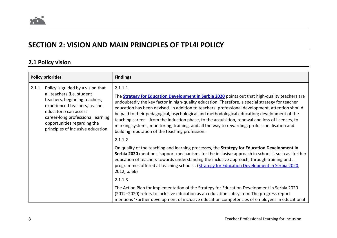## **SECTION 2: VISION AND MAIN PRINCIPLES OF TPL4I POLICY**

### **2.1 Policy vision**

| <b>Policy priorities</b>                                                                                                                                                                                                                                                                |  | <b>Findings</b>                                                                                                                                                                                                                                                                                                                                                                                                                                                                                                                                                                                                                                                     |
|-----------------------------------------------------------------------------------------------------------------------------------------------------------------------------------------------------------------------------------------------------------------------------------------|--|---------------------------------------------------------------------------------------------------------------------------------------------------------------------------------------------------------------------------------------------------------------------------------------------------------------------------------------------------------------------------------------------------------------------------------------------------------------------------------------------------------------------------------------------------------------------------------------------------------------------------------------------------------------------|
| Policy is guided by a vision that<br>2.1.1.1<br>2.1.1<br>all teachers (i.e. student<br>teachers, beginning teachers,<br>experienced teachers, teacher<br>educators) can access<br>career-long professional learning<br>opportunities regarding the<br>principles of inclusive education |  | The <b>Strategy for Education Development in Serbia 2020</b> points out that high-quality teachers are<br>undoubtedly the key factor in high-quality education. Therefore, a special strategy for teacher<br>education has been devised. In addition to teachers' professional development, attention should<br>be paid to their pedagogical, psychological and methodological education; development of the<br>teaching career - from the induction phase, to the acquisition, renewal and loss of licences, to<br>marking systems, monitoring, training, and all the way to rewarding, professionalisation and<br>building reputation of the teaching profession. |
|                                                                                                                                                                                                                                                                                         |  | 2.1.1.2                                                                                                                                                                                                                                                                                                                                                                                                                                                                                                                                                                                                                                                             |
|                                                                                                                                                                                                                                                                                         |  | On quality of the teaching and learning processes, the Strategy for Education Development in<br>Serbia 2020 mentions 'support mechanisms for the inclusive approach in schools', such as 'further<br>education of teachers towards understanding the inclusive approach, through training and<br>programmes offered at teaching schools'. (Strategy for Education Development in Serbia 2020,<br>2012, p. 66)                                                                                                                                                                                                                                                       |
|                                                                                                                                                                                                                                                                                         |  | 2.1.1.3                                                                                                                                                                                                                                                                                                                                                                                                                                                                                                                                                                                                                                                             |
|                                                                                                                                                                                                                                                                                         |  | The Action Plan for Implementation of the Strategy for Education Development in Serbia 2020<br>(2012-2020) refers to inclusive education as an education subsystem. The progress report<br>mentions 'Further development of inclusive education competencies of employees in educational                                                                                                                                                                                                                                                                                                                                                                            |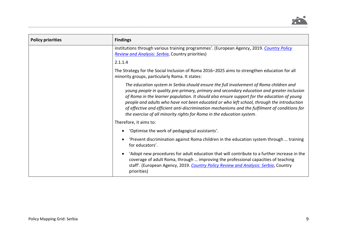

| <b>Policy priorities</b> | <b>Findings</b>                                                                                                                                                                                                                                                                                                                                                                                                                                                                                                                                             |
|--------------------------|-------------------------------------------------------------------------------------------------------------------------------------------------------------------------------------------------------------------------------------------------------------------------------------------------------------------------------------------------------------------------------------------------------------------------------------------------------------------------------------------------------------------------------------------------------------|
|                          | institutions through various training programmes'. (European Agency, 2019. Country Policy<br><b>Review and Analysis: Serbia, Country priorities)</b>                                                                                                                                                                                                                                                                                                                                                                                                        |
|                          | 2.1.1.4                                                                                                                                                                                                                                                                                                                                                                                                                                                                                                                                                     |
|                          | The Strategy for the Social Inclusion of Roma 2016–2025 aims to strengthen education for all<br>minority groups, particularly Roma. It states:                                                                                                                                                                                                                                                                                                                                                                                                              |
|                          | The education system in Serbia should ensure the full involvement of Roma children and<br>young people in quality pre-primary, primary and secondary education and greater inclusion<br>of Roma in the learner population. It should also ensure support for the education of young<br>people and adults who have not been educated or who left school, through the introduction<br>of effective and efficient anti-discrimination mechanisms and the fulfilment of conditions for<br>the exercise of all minority rights for Roma in the education system. |
|                          | Therefore, it aims to:                                                                                                                                                                                                                                                                                                                                                                                                                                                                                                                                      |
|                          | 'Optimise the work of pedagogical assistants'.                                                                                                                                                                                                                                                                                                                                                                                                                                                                                                              |
|                          | 'Prevent discrimination against Roma children in the education system through  training<br>for educators'.                                                                                                                                                                                                                                                                                                                                                                                                                                                  |
|                          | 'Adopt new procedures for adult education that will contribute to a further increase in the<br>coverage of adult Roma, through  improving the professional capacities of teaching<br>staff'. (European Agency, 2019. Country Policy Review and Analysis: Serbia, Country<br>priorities)                                                                                                                                                                                                                                                                     |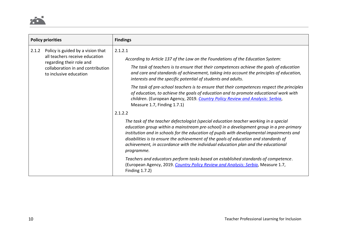

| <b>Policy priorities</b>                                                                                                                                                                      |                                                                                                                                                                                                                                                                                                                                       | <b>Findings</b>                                                                                                                                                                                                                                                                                                                                                                                                                                                          |
|-----------------------------------------------------------------------------------------------------------------------------------------------------------------------------------------------|---------------------------------------------------------------------------------------------------------------------------------------------------------------------------------------------------------------------------------------------------------------------------------------------------------------------------------------|--------------------------------------------------------------------------------------------------------------------------------------------------------------------------------------------------------------------------------------------------------------------------------------------------------------------------------------------------------------------------------------------------------------------------------------------------------------------------|
| 2.1.2.1<br>Policy is guided by a vision that<br>2.1.2<br>all teachers receive education<br>regarding their role and<br>collaboration in and contribution<br>to inclusive education<br>2.1.2.2 | According to Article 137 of the Law on the Foundations of the Education System:<br>The task of teachers is to ensure that their competences achieve the goals of education<br>and care and standards of achievement, taking into account the principles of education,<br>interests and the specific potential of students and adults. |                                                                                                                                                                                                                                                                                                                                                                                                                                                                          |
|                                                                                                                                                                                               |                                                                                                                                                                                                                                                                                                                                       | The task of pre-school teachers is to ensure that their competences respect the principles<br>of education, to achieve the goals of education and to promote educational work with<br>children. (European Agency, 2019. Country Policy Review and Analysis: Serbia,<br>Measure 1.7, Finding 1.7.1)                                                                                                                                                                       |
|                                                                                                                                                                                               |                                                                                                                                                                                                                                                                                                                                       | The task of the teacher defectologist (special education teacher working in a special<br>education group within a mainstream pre-school) in a development group in a pre-primary<br>institution and in schools for the education of pupils with developmental impairments and<br>disabilities is to ensure the achievement of the goals of education and standards of<br>achievement, in accordance with the individual education plan and the educational<br>programme. |
|                                                                                                                                                                                               |                                                                                                                                                                                                                                                                                                                                       | Teachers and educators perform tasks based on established standards of competence.<br>(European Agency, 2019. Country Policy Review and Analysis: Serbia, Measure 1.7,<br>Finding 1.7.2)                                                                                                                                                                                                                                                                                 |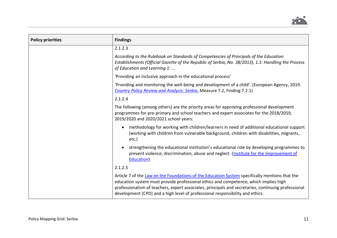

| <b>Policy priorities</b> | <b>Findings</b>                                                                                                                                                                                                                                                                                                                                                                |
|--------------------------|--------------------------------------------------------------------------------------------------------------------------------------------------------------------------------------------------------------------------------------------------------------------------------------------------------------------------------------------------------------------------------|
|                          | 2.1.2.3                                                                                                                                                                                                                                                                                                                                                                        |
|                          | According to the Rulebook on Standards of Competencies of Principals of the Education<br>Establishments (Official Gazette of the Republic of Serbia, No. 38/2013), 1.1: Handling the Process<br>of Education and Learning 1:                                                                                                                                                   |
|                          | 'Providing an inclusive approach in the educational process'                                                                                                                                                                                                                                                                                                                   |
|                          | 'Providing and monitoring the well-being and development of a child'. (European Agency, 2019.<br><b>Country Policy Review and Analysis: Serbia, Measure 7.2, Finding 7.2.1)</b>                                                                                                                                                                                                |
|                          | 2.1.2.4                                                                                                                                                                                                                                                                                                                                                                        |
|                          | The following (among others) are the priority areas for approving professional development<br>programmes for pre-primary and school teachers and expert associates for the 2018/2019,<br>2019/2020 and 2020/2021 school years:                                                                                                                                                 |
|                          | methodology for working with children/learners in need of additional educational support<br>(working with children from vulnerable background, children with disabilities, migrants,<br>etc.)                                                                                                                                                                                  |
|                          | strengthening the educational institution's educational role by developing programmes to<br>prevent violence, discrimination, abuse and neglect. (Institute for the Improvement of<br>Education)                                                                                                                                                                               |
|                          | 2.1.2.5                                                                                                                                                                                                                                                                                                                                                                        |
|                          | Article 7 of the Law on the Foundations of the Education System specifically mentions that the<br>education system must provide professional ethics and competence, which implies high<br>professionalism of teachers, expert associates, principals and secretaries, continuing professional<br>development (CPD) and a high level of professional responsibility and ethics. |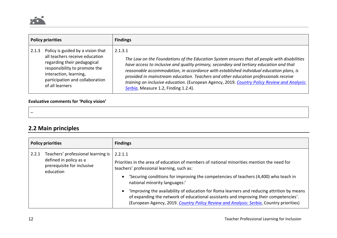

| <b>Policy priorities</b> |                                                                                                                                                                                                                     | <b>Findings</b>                                                                                                                                                                                                                                                                                                                                                                                                                                                                                                               |
|--------------------------|---------------------------------------------------------------------------------------------------------------------------------------------------------------------------------------------------------------------|-------------------------------------------------------------------------------------------------------------------------------------------------------------------------------------------------------------------------------------------------------------------------------------------------------------------------------------------------------------------------------------------------------------------------------------------------------------------------------------------------------------------------------|
| 2.1.3                    | Policy is guided by a vision that<br>all teachers receive education<br>regarding their pedagogical<br>responsibility to promote the<br>interaction, learning,<br>participation and collaboration<br>of all learners | 2.1.3.1<br>The Law on the Foundations of the Education System ensures that all people with disabilities<br>have access to inclusive and quality primary, secondary and tertiary education and that<br>reasonable accommodation, in accordance with established individual education plans, is<br>provided in mainstream education. Teachers and other education professionals receive<br>training on inclusive education. (European Agency, 2019. Country Policy Review and Analysis:<br>Serbia, Measure 1.2, Finding 1.2.4). |

### **Evaluative comments for 'Policy vision'**

### **2.2 Main principles**

| <b>Policy priorities</b> |                                                                                                         | <b>Findings</b>                                                                                                                                                                                                                                                                             |
|--------------------------|---------------------------------------------------------------------------------------------------------|---------------------------------------------------------------------------------------------------------------------------------------------------------------------------------------------------------------------------------------------------------------------------------------------|
| 2.2.1                    | Teachers' professional learning is<br>defined in policy as a<br>prerequisite for inclusive<br>education | 2.2.1.1<br>Priorities in the area of education of members of national minorities mention the need for<br>teachers' professional learning, such as:<br>'Securing conditions for improving the competencies of teachers (4,400) who teach in<br>$\bullet$<br>national minority languages:'    |
|                          |                                                                                                         | 'Improving the availability of education for Roma learners and reducing attrition by means<br>$\bullet$<br>of expanding the network of educational assistants and improving their competencies'.<br>(European Agency, 2019. Country Policy Review and Analysis: Serbia, Country priorities) |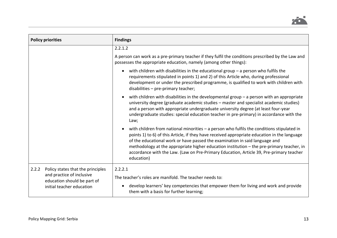

| <b>Policy priorities</b>                                                                                                            | <b>Findings</b>                                                                                                                                                                                                                                                                                                                                                                                                                                                                   |
|-------------------------------------------------------------------------------------------------------------------------------------|-----------------------------------------------------------------------------------------------------------------------------------------------------------------------------------------------------------------------------------------------------------------------------------------------------------------------------------------------------------------------------------------------------------------------------------------------------------------------------------|
|                                                                                                                                     | 2.2.1.2                                                                                                                                                                                                                                                                                                                                                                                                                                                                           |
|                                                                                                                                     | A person can work as a pre-primary teacher if they fulfil the conditions prescribed by the Law and<br>possesses the appropriate education, namely (among other things):                                                                                                                                                                                                                                                                                                           |
|                                                                                                                                     | with children with disabilities in the educational group $-$ a person who fulfils the<br>$\bullet$<br>requirements stipulated in points 1) and 2) of this Article who, during professional<br>development or under the prescribed programme, is qualified to work with children with<br>disabilities - pre-primary teacher;                                                                                                                                                       |
|                                                                                                                                     | with children with disabilities in the developmental group $-$ a person with an appropriate<br>university degree (graduate academic studies - master and specialist academic studies)<br>and a person with appropriate undergraduate university degree (at least four-year<br>undergraduate studies: special education teacher in pre-primary) in accordance with the<br>Law;                                                                                                     |
|                                                                                                                                     | with children from national minorities $-$ a person who fulfils the conditions stipulated in<br>points 1) to 6) of this Article, if they have received appropriate education in the language<br>of the educational work or have passed the examination in said language and<br>methodology at the appropriate higher education institution - the pre-primary teacher, in<br>accordance with the Law. (Law on Pre-Primary Education, Article 39, Pre-primary teacher<br>education) |
| 2.2.2<br>Policy states that the principles<br>and practice of inclusive<br>education should be part of<br>initial teacher education | 2.2.2.1<br>The teacher's roles are manifold. The teacher needs to:<br>develop learners' key competencies that empower them for living and work and provide<br>$\bullet$                                                                                                                                                                                                                                                                                                           |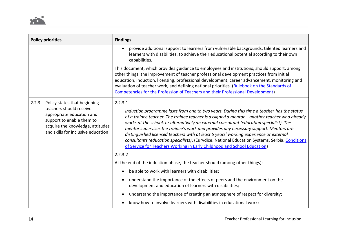| <b>Policy priorities</b>                                                                                                                                         | <b>Findings</b>                                                                                                                                                                                                                                                                                                                                                                                                                                                                                                                                                                                                                                                  |
|------------------------------------------------------------------------------------------------------------------------------------------------------------------|------------------------------------------------------------------------------------------------------------------------------------------------------------------------------------------------------------------------------------------------------------------------------------------------------------------------------------------------------------------------------------------------------------------------------------------------------------------------------------------------------------------------------------------------------------------------------------------------------------------------------------------------------------------|
|                                                                                                                                                                  | provide additional support to learners from vulnerable backgrounds, talented learners and<br>learners with disabilities, to achieve their educational potential according to their own<br>capabilities.                                                                                                                                                                                                                                                                                                                                                                                                                                                          |
|                                                                                                                                                                  | This document, which provides guidance to employees and institutions, should support, among<br>other things, the improvement of teacher professional development practices from initial<br>education, induction, licensing, professional development, career advancement, monitoring and<br>evaluation of teacher work, and defining national priorities. (Rulebook on the Standards of<br>Competencies for the Profession of Teachers and their Professional Development)                                                                                                                                                                                       |
| 2.2.3<br>Policy states that beginning<br>teachers should receive<br>appropriate education and<br>support to enable them to<br>and skills for inclusive education | 2.2.3.1<br>Induction programme lasts from one to two years. During this time a teacher has the status<br>of a trainee teacher. The trainee teacher is assigned a mentor - another teacher who already<br>works at the school, or alternatively an external consultant (education specialist). The<br>mentor supervises the trainee's work and provides any necessary support. Mentors are<br>distinguished licensed teachers with at least 5 years' working experience or external<br>consultants (education specialists). (Eurydice, National Education Systems, Serbia, Conditions<br>of Service for Teachers Working in Early Childhood and School Education) |
| acquire the knowledge, attitudes<br>2.2.3.2                                                                                                                      |                                                                                                                                                                                                                                                                                                                                                                                                                                                                                                                                                                                                                                                                  |
|                                                                                                                                                                  | At the end of the induction phase, the teacher should (among other things):                                                                                                                                                                                                                                                                                                                                                                                                                                                                                                                                                                                      |
|                                                                                                                                                                  | be able to work with learners with disabilities;                                                                                                                                                                                                                                                                                                                                                                                                                                                                                                                                                                                                                 |
|                                                                                                                                                                  | understand the importance of the effects of peers and the environment on the<br>$\bullet$<br>development and education of learners with disabilities;                                                                                                                                                                                                                                                                                                                                                                                                                                                                                                            |
|                                                                                                                                                                  | understand the importance of creating an atmosphere of respect for diversity;                                                                                                                                                                                                                                                                                                                                                                                                                                                                                                                                                                                    |
|                                                                                                                                                                  | know how to involve learners with disabilities in educational work;                                                                                                                                                                                                                                                                                                                                                                                                                                                                                                                                                                                              |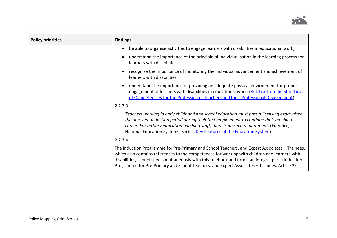

| <b>Policy priorities</b> | <b>Findings</b>                                                                                                                                                                                                                                                                                                                                                                                       |
|--------------------------|-------------------------------------------------------------------------------------------------------------------------------------------------------------------------------------------------------------------------------------------------------------------------------------------------------------------------------------------------------------------------------------------------------|
|                          | be able to organise activities to engage learners with disabilities in educational work;<br>$\bullet$                                                                                                                                                                                                                                                                                                 |
|                          | understand the importance of the principle of individualisation in the learning process for<br>learners with disabilities;                                                                                                                                                                                                                                                                            |
|                          | recognise the importance of monitoring the individual advancement and achievement of<br>learners with disabilities;                                                                                                                                                                                                                                                                                   |
|                          | understand the importance of providing an adequate physical environment for proper<br>engagement of learners with disabilities in educational work. (Rulebook on the Standards<br>of Competencies for the Profession of Teachers and their Professional Development)                                                                                                                                  |
|                          | 2.2.3.3                                                                                                                                                                                                                                                                                                                                                                                               |
|                          | Teachers working in early childhood and school education must pass a licensing exam after<br>the one-year induction period during their first employment to continue their teaching<br>career. For tertiary education teaching staff, there is no such requirement. (Eurydice,<br>National Education Systems, Serbia, Key Features of the Education System)                                           |
|                          | 2.2.3.4                                                                                                                                                                                                                                                                                                                                                                                               |
|                          | The Induction Programme for Pre-Primary and School Teachers, and Expert Associates - Trainees,<br>which also contains references to the competences for working with children and learners with<br>disabilities, is published simultaneously with this rulebook and forms an integral part. (Induction<br>Programme for Pre-Primary and School Teachers, and Expert Associates - Trainees, Article 2) |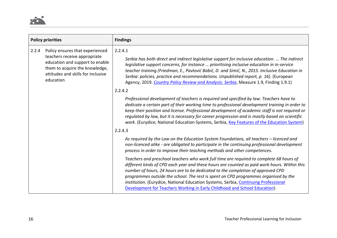

<span id="page-15-0"></span>

| <b>Policy priorities</b><br><b>Findings</b>                                                                                                                                                                                       |                                                                                                                                                                                                                                                                                                                                                                                                                                                                                                                                                                                                                                                                                                                                                                                                                                                                                                                                                                                                                                                                                                                                                                                                                                                                                                                                                                                                                                                                                                                                                                                                                                                                                                                                                                                                  |
|-----------------------------------------------------------------------------------------------------------------------------------------------------------------------------------------------------------------------------------|--------------------------------------------------------------------------------------------------------------------------------------------------------------------------------------------------------------------------------------------------------------------------------------------------------------------------------------------------------------------------------------------------------------------------------------------------------------------------------------------------------------------------------------------------------------------------------------------------------------------------------------------------------------------------------------------------------------------------------------------------------------------------------------------------------------------------------------------------------------------------------------------------------------------------------------------------------------------------------------------------------------------------------------------------------------------------------------------------------------------------------------------------------------------------------------------------------------------------------------------------------------------------------------------------------------------------------------------------------------------------------------------------------------------------------------------------------------------------------------------------------------------------------------------------------------------------------------------------------------------------------------------------------------------------------------------------------------------------------------------------------------------------------------------------|
| 2.2.4.1<br>Policy ensures that experienced<br>2.2.4<br>teachers receive appropriate<br>education and support to enable<br>them to acquire the knowledge,<br>attitudes and skills for inclusive<br>education<br>2.2.4.2<br>2.2.4.3 | Serbia has both direct and indirect legislative support for inclusive education.  The indirect<br>legislative support concerns, for instance  prioritising inclusive education in in-service<br>teacher training (Friedman, E., Pavlović Babić, D. and Simić, N., 2015. Inclusive Education in<br>Serbia: policies, practice and recommendations. Unpublished report, p. 16). (European<br>Agency, 2019. Country Policy Review and Analysis: Serbia, Measure 1.9, Finding 1.9.1)<br>Professional development of teachers is required and specified by law. Teachers have to<br>dedicate a certain part of their working time to professional development training in order to<br>keep their position and license. Professional development of academic staff is not required or<br>regulated by law, but it is necessary for career progression and is mostly based on scientific<br>work. (Eurydice, National Education Systems, Serbia, Key Features of the Education System)<br>As required by the Law on the Education System Foundations, all teachers - licenced and<br>non-licenced alike - are obligated to participate in the continuing professional development<br>process in order to improve their teaching methods and other competences.<br>Teachers and preschool teachers who work full time are required to complete 68 hours of<br>different kinds of CPD each year and these hours are counted as paid work hours. Within this<br>number of hours, 24 hours are to be dedicated to the completion of approved CPD<br>programmes outside the school. The rest is spent on CPD programmes organised by the<br>institution. (Eurydice, National Education Systems, Serbia, Continuing Professional<br>Development for Teachers Working in Early Childhood and School Education) |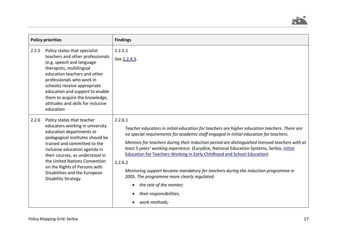

|       | <b>Policy priorities</b>                                                                                                                                                                                                                                                                                                                                           | <b>Findings</b>                                                                                                                                                                                                                                                                                                                                                                                                                                                                                                                                                                                                                                                                                         |
|-------|--------------------------------------------------------------------------------------------------------------------------------------------------------------------------------------------------------------------------------------------------------------------------------------------------------------------------------------------------------------------|---------------------------------------------------------------------------------------------------------------------------------------------------------------------------------------------------------------------------------------------------------------------------------------------------------------------------------------------------------------------------------------------------------------------------------------------------------------------------------------------------------------------------------------------------------------------------------------------------------------------------------------------------------------------------------------------------------|
| 2.2.5 | Policy states that specialist<br>teachers and other professionals<br>(e.g. speech and language<br>therapists, multilingual<br>education teachers and other<br>professionals who work in<br>schools) receive appropriate<br>education and support to enable<br>them to acquire the knowledge,<br>attitudes and skills for inclusive<br>education                    | 2.2.5.1<br>See 2.2.4.3.                                                                                                                                                                                                                                                                                                                                                                                                                                                                                                                                                                                                                                                                                 |
| 2.2.6 | Policy states that teacher<br>educators working in university<br>education departments or<br>pedagogical institutes should be<br>trained and committed to the<br>inclusive education agenda in<br>their courses, as understood in<br>the United Nations Convention<br>on the Rights of Persons with<br>Disabilities and the European<br><b>Disability Strategy</b> | 2.2.6.1<br>Teacher educators in initial education for teachers are higher education teachers. There are<br>no special requirements for academic staff engaged in initial education for teachers.<br>Mentors for teachers during their induction period are distinguished licensed teachers with at<br>least 5 years' working experience. (Eurydice, National Education Systems, Serbia, Initial<br><b>Education for Teachers Working in Early Childhood and School Education)</b><br>2.2.6.2<br>Mentoring support became mandatory for teachers during the induction programme in<br>2005. The programme more clearly regulated:<br>the role of the mentor;<br>their responsibilities;<br>work methods; |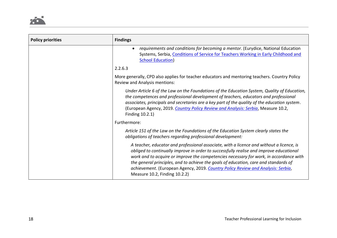

| <b>Policy priorities</b> | <b>Findings</b>                                                                                                                                                                                                                                                                                                                                                                                                                                                                            |
|--------------------------|--------------------------------------------------------------------------------------------------------------------------------------------------------------------------------------------------------------------------------------------------------------------------------------------------------------------------------------------------------------------------------------------------------------------------------------------------------------------------------------------|
|                          | requirements and conditions for becoming a mentor. (Eurydice, National Education<br>Systems, Serbia, Conditions of Service for Teachers Working in Early Childhood and<br><b>School Education</b> )                                                                                                                                                                                                                                                                                        |
|                          | 2.2.6.3                                                                                                                                                                                                                                                                                                                                                                                                                                                                                    |
|                          | More generally, CPD also applies for teacher educators and mentoring teachers. Country Policy<br>Review and Analysis mentions:                                                                                                                                                                                                                                                                                                                                                             |
|                          | Under Article 6 of the Law on the Foundations of the Education System, Quality of Education,<br>the competences and professional development of teachers, educators and professional<br>associates, principals and secretaries are a key part of the quality of the education system.<br>(European Agency, 2019. Country Policy Review and Analysis: Serbia, Measure 10.2,<br>Finding 10.2.1)                                                                                              |
|                          | Furthermore:                                                                                                                                                                                                                                                                                                                                                                                                                                                                               |
|                          | Article 151 of the Law on the Foundations of the Education System clearly states the<br>obligations of teachers regarding professional development:                                                                                                                                                                                                                                                                                                                                        |
|                          | A teacher, educator and professional associate, with a licence and without a licence, is<br>obliged to continually improve in order to successfully realise and improve educational<br>work and to acquire or improve the competencies necessary for work, in accordance with<br>the general principles, and to achieve the goals of education, care and standards of<br>achievement. (European Agency, 2019. Country Policy Review and Analysis: Serbia,<br>Measure 10.2, Finding 10.2.2) |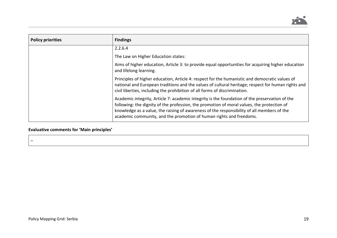

| <b>Policy priorities</b> | <b>Findings</b>                                                                                                                                                                                                                                                                                                                                                   |
|--------------------------|-------------------------------------------------------------------------------------------------------------------------------------------------------------------------------------------------------------------------------------------------------------------------------------------------------------------------------------------------------------------|
|                          | 2.2.6.4                                                                                                                                                                                                                                                                                                                                                           |
|                          | The Law on Higher Education states:                                                                                                                                                                                                                                                                                                                               |
|                          | Aims of higher education, Article 3: to provide equal opportunities for acquiring higher education<br>and lifelong learning.                                                                                                                                                                                                                                      |
|                          | Principles of higher education, Article 4: respect for the humanistic and democratic values of<br>national and European traditions and the values of cultural heritage; respect for human rights and<br>civil liberties, including the prohibition of all forms of discrimination.                                                                                |
|                          | Academic integrity, Article 7: academic integrity is the foundation of the preservation of the<br>following: the dignity of the profession, the promotion of moral values, the protection of<br>knowledge as a value, the raising of awareness of the responsibility of all members of the<br>academic community, and the promotion of human rights and freedoms. |

### **Evaluative comments for 'Main principles'**

–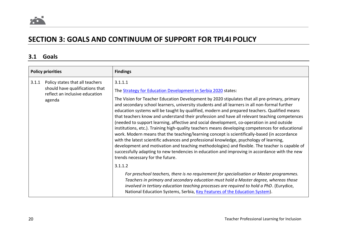

# **SECTION 3: GOALS AND CONTINUUM OF SUPPORT FOR TPL4I POLICY**

### **3.1 Goals**

|       | <b>Policy priorities</b>                                                                                       | <b>Findings</b>                                                                                                                                                                                                                                                                                                                                                                                                                                                                                                                                                                                                                                                                                                                                                                                                                                                                                                                                                                                                                                                                                                 |
|-------|----------------------------------------------------------------------------------------------------------------|-----------------------------------------------------------------------------------------------------------------------------------------------------------------------------------------------------------------------------------------------------------------------------------------------------------------------------------------------------------------------------------------------------------------------------------------------------------------------------------------------------------------------------------------------------------------------------------------------------------------------------------------------------------------------------------------------------------------------------------------------------------------------------------------------------------------------------------------------------------------------------------------------------------------------------------------------------------------------------------------------------------------------------------------------------------------------------------------------------------------|
| 3.1.1 | Policy states that all teachers<br>should have qualifications that<br>reflect an inclusive education<br>agenda | 3.1.1.1<br>The Strategy for Education Development in Serbia 2020 states:<br>The Vision for Teacher Education Development by 2020 stipulates that all pre-primary, primary<br>and secondary school learners, university students and all learners in all non-formal further<br>education systems will be taught by qualified, modern and prepared teachers. Qualified means<br>that teachers know and understand their profession and have all relevant teaching competences<br>(needed to support learning, affective and social development, co-operation in and outside<br>institutions, etc.). Training high-quality teachers means developing competences for educational<br>work. Modern means that the teaching/learning concept is scientifically-based (in accordance<br>with the latest scientific advances and professional knowledge, psychology of learning,<br>development and motivation and teaching methodologies) and flexible. The teacher is capable of<br>successfully adapting to new tendencies in education and improving in accordance with the new<br>trends necessary for the future. |
|       |                                                                                                                | 3.1.1.2<br>For preschool teachers, there is no requirement for specialisation or Master programmes.<br>Teachers in primary and secondary education must hold a Master degree, whereas those<br>involved in tertiary education teaching processes are required to hold a PhD. (Eurydice,<br>National Education Systems, Serbia, Key Features of the Education System).                                                                                                                                                                                                                                                                                                                                                                                                                                                                                                                                                                                                                                                                                                                                           |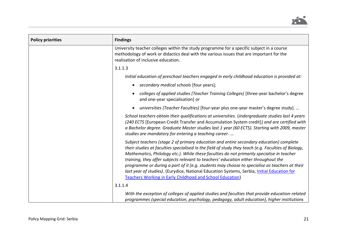

| <b>Policy priorities</b> | <b>Findings</b>                                                                                                                                                                                                                                                                                                                                                                                                                                                                                                                                                                                                                                         |
|--------------------------|---------------------------------------------------------------------------------------------------------------------------------------------------------------------------------------------------------------------------------------------------------------------------------------------------------------------------------------------------------------------------------------------------------------------------------------------------------------------------------------------------------------------------------------------------------------------------------------------------------------------------------------------------------|
|                          | University teacher colleges within the study programme for a specific subject in a course<br>methodology of work or didactics deal with the various issues that are important for the<br>realisation of inclusive education.                                                                                                                                                                                                                                                                                                                                                                                                                            |
|                          | 3.1.1.3                                                                                                                                                                                                                                                                                                                                                                                                                                                                                                                                                                                                                                                 |
|                          | Initial education of preschool teachers engaged in early childhood education is provided at:                                                                                                                                                                                                                                                                                                                                                                                                                                                                                                                                                            |
|                          | secondary medical schools [four years];                                                                                                                                                                                                                                                                                                                                                                                                                                                                                                                                                                                                                 |
|                          | colleges of applied studies (Teacher Training Colleges) [three-year bachelor's degree<br>and one-year specialisation] or                                                                                                                                                                                                                                                                                                                                                                                                                                                                                                                                |
|                          | universities (Teacher Faculties) [four-year plus one-year master's degree study].                                                                                                                                                                                                                                                                                                                                                                                                                                                                                                                                                                       |
|                          | School teachers obtain their qualifications at universities. Undergraduate studies last 4 years<br>(240 ECTS [European Credit Transfer and Accumulation System credit]) and are certified with<br>a Bachelor degree. Graduate Master studies last 1 year (60 ECTS). Starting with 2009, master<br>studies are mandatory for entering a teaching career.                                                                                                                                                                                                                                                                                                 |
|                          | Subject teachers (stage 2 of primary education and entire secondary education) complete<br>their studies at faculties specialised in the field of study they teach (e.g. Faculties of Biology,<br>Mathematics, Philology etc.). While these faculties do not primarily specialise in teacher<br>training, they offer subjects relevant to teachers' education either throughout the<br>programme or during a part of it (e.g. students may choose to specialise as teachers at their<br>last year of studies). (Eurydice, National Education Systems, Serbia, Initial Education for<br><b>Teachers Working in Early Childhood and School Education)</b> |
|                          | 3.1.1.4                                                                                                                                                                                                                                                                                                                                                                                                                                                                                                                                                                                                                                                 |
|                          | With the exception of colleges of applied studies and faculties that provide education-related<br>programmes (special education, psychology, pedagogy, adult education), higher institutions                                                                                                                                                                                                                                                                                                                                                                                                                                                            |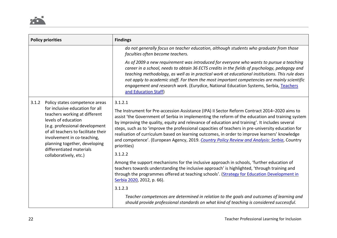|                                                                                                                                                                                                                                                                                                                                   | <b>Policy priorities</b> | <b>Findings</b>                                                                                                                                                                                                                                                                                                                                                                                                                                                                                                                                                                                                           |
|-----------------------------------------------------------------------------------------------------------------------------------------------------------------------------------------------------------------------------------------------------------------------------------------------------------------------------------|--------------------------|---------------------------------------------------------------------------------------------------------------------------------------------------------------------------------------------------------------------------------------------------------------------------------------------------------------------------------------------------------------------------------------------------------------------------------------------------------------------------------------------------------------------------------------------------------------------------------------------------------------------------|
|                                                                                                                                                                                                                                                                                                                                   |                          | do not generally focus on teacher education, although students who graduate from those<br>faculties often become teachers.                                                                                                                                                                                                                                                                                                                                                                                                                                                                                                |
|                                                                                                                                                                                                                                                                                                                                   |                          | As of 2009 a new requirement was introduced for everyone who wants to pursue a teaching<br>career in a school, needs to obtain 36 ECTS credits in the fields of psychology, pedagogy and<br>teaching methodology, as well as in practical work at educational institutions. This rule does<br>not apply to academic staff. For them the most important competencies are mainly scientific<br>engagement and research work. (Eurydice, National Education Systems, Serbia, Teachers<br>and Education Staff)                                                                                                                |
| 3.1.2<br>Policy states competence areas<br>for inclusive education for all<br>teachers working at different<br>levels of education<br>(e.g. professional development<br>of all teachers to facilitate their<br>involvement in co-teaching,<br>planning together, developing<br>differentiated materials<br>collaboratively, etc.) | 3.1.2.1                  |                                                                                                                                                                                                                                                                                                                                                                                                                                                                                                                                                                                                                           |
|                                                                                                                                                                                                                                                                                                                                   |                          | The Instrument for Pre-accession Assistance (IPA) II Sector Reform Contract 2014-2020 aims to<br>assist 'the Government of Serbia in implementing the reform of the education and training system<br>by improving the quality, equity and relevance of education and training'. It includes several<br>steps, such as to 'improve the professional capacities of teachers in pre-university education for<br>realisation of curriculum based on learning outcomes, in order to improve learners' knowledge<br>and competence'. (European Agency, 2019. Country Policy Review and Analysis: Serbia, Country<br>priorities) |
|                                                                                                                                                                                                                                                                                                                                   |                          | 3.1.2.2                                                                                                                                                                                                                                                                                                                                                                                                                                                                                                                                                                                                                   |
|                                                                                                                                                                                                                                                                                                                                   |                          | Among the support mechanisms for the inclusive approach in schools, 'further education of<br>teachers towards understanding the inclusive approach' is highlighted, 'through training and<br>through the programmes offered at teaching schools'. (Strategy for Education Development in<br>Serbia 2020, 2012, p. 66).                                                                                                                                                                                                                                                                                                    |
|                                                                                                                                                                                                                                                                                                                                   |                          | 3.1.2.3                                                                                                                                                                                                                                                                                                                                                                                                                                                                                                                                                                                                                   |
|                                                                                                                                                                                                                                                                                                                                   |                          | Teacher competences are determined in relation to the goals and outcomes of learning and<br>should provide professional standards on what kind of teaching is considered successful.                                                                                                                                                                                                                                                                                                                                                                                                                                      |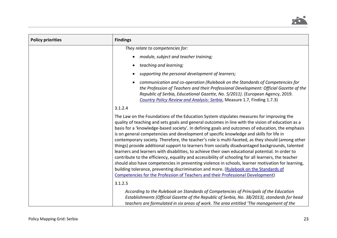

| <b>Policy priorities</b> | <b>Findings</b>                                                                                                                                                                                                                                                                                                                                                                                                                                                                                                                                                                                                                                                                                                                                                                                                                                                                                                                                                                                                                                                                                   |
|--------------------------|---------------------------------------------------------------------------------------------------------------------------------------------------------------------------------------------------------------------------------------------------------------------------------------------------------------------------------------------------------------------------------------------------------------------------------------------------------------------------------------------------------------------------------------------------------------------------------------------------------------------------------------------------------------------------------------------------------------------------------------------------------------------------------------------------------------------------------------------------------------------------------------------------------------------------------------------------------------------------------------------------------------------------------------------------------------------------------------------------|
|                          | They relate to competencies for:                                                                                                                                                                                                                                                                                                                                                                                                                                                                                                                                                                                                                                                                                                                                                                                                                                                                                                                                                                                                                                                                  |
|                          | module, subject and teacher training;                                                                                                                                                                                                                                                                                                                                                                                                                                                                                                                                                                                                                                                                                                                                                                                                                                                                                                                                                                                                                                                             |
|                          | teaching and learning;                                                                                                                                                                                                                                                                                                                                                                                                                                                                                                                                                                                                                                                                                                                                                                                                                                                                                                                                                                                                                                                                            |
|                          | supporting the personal development of learners;                                                                                                                                                                                                                                                                                                                                                                                                                                                                                                                                                                                                                                                                                                                                                                                                                                                                                                                                                                                                                                                  |
|                          | communication and co-operation (Rulebook on the Standards of Competencies for<br>the Profession of Teachers and their Professional Development: Official Gazette of the<br>Republic of Serbia, Educational Gazette, No. 5/2011). (European Agency, 2019.<br>Country Policy Review and Analysis: Serbia, Measure 1.7, Finding 1.7.3)                                                                                                                                                                                                                                                                                                                                                                                                                                                                                                                                                                                                                                                                                                                                                               |
|                          | 3.1.2.4                                                                                                                                                                                                                                                                                                                                                                                                                                                                                                                                                                                                                                                                                                                                                                                                                                                                                                                                                                                                                                                                                           |
|                          | The Law on the Foundations of the Education System stipulates measures for improving the<br>quality of teaching and sets goals and general outcomes in line with the vision of education as a<br>basis for a 'knowledge-based society'. In defining goals and outcomes of education, the emphasis<br>is on general competencies and development of specific knowledge and skills for life in<br>contemporary society. Therefore, the teacher's role is multi-faceted, as they should (among other<br>things) provide additional support to learners from socially disadvantaged backgrounds, talented<br>learners and learners with disabilities, to achieve their own educational potential. In order to<br>contribute to the efficiency, equality and accessibility of schooling for all learners, the teacher<br>should also have competencies in preventing violence in schools, learner motivation for learning,<br>building tolerance, preventing discrimination and more. (Rulebook on the Standards of<br>Competencies for the Profession of Teachers and their Professional Development) |
|                          | 3.1.2.5                                                                                                                                                                                                                                                                                                                                                                                                                                                                                                                                                                                                                                                                                                                                                                                                                                                                                                                                                                                                                                                                                           |
|                          | According to the Rulebook on Standards of Competencies of Principals of the Education<br>Establishments (Official Gazette of the Republic of Serbia, No. 38/2013), standards for head<br>teachers are formulated in six areas of work. The area entitled 'The management of the                                                                                                                                                                                                                                                                                                                                                                                                                                                                                                                                                                                                                                                                                                                                                                                                                   |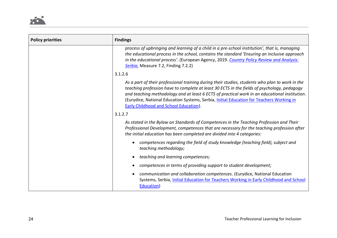

| <b>Policy priorities</b> | <b>Findings</b>                                                                                                                                                                                                                                                                                                                                                                                                                              |
|--------------------------|----------------------------------------------------------------------------------------------------------------------------------------------------------------------------------------------------------------------------------------------------------------------------------------------------------------------------------------------------------------------------------------------------------------------------------------------|
|                          | process of upbringing and learning of a child in a pre-school institution', that is, managing<br>the educational process in the school, contains the standard 'Ensuring an inclusive approach<br>in the educational process'. (European Agency, 2019. Country Policy Review and Analysis:<br>Serbia, Measure 7.2, Finding 7.2.2)                                                                                                             |
|                          | 3.1.2.6                                                                                                                                                                                                                                                                                                                                                                                                                                      |
|                          | As a part of their professional training during their studies, students who plan to work in the<br>teaching profession have to complete at least 30 ECTS in the fields of psychology, pedagogy<br>and teaching methodology and at least 6 ECTS of practical work in an educational institution.<br>(Eurydice, National Education Systems, Serbia, Initial Education for Teachers Working in<br><b>Early Childhood and School Education).</b> |
|                          | 3.1.2.7                                                                                                                                                                                                                                                                                                                                                                                                                                      |
|                          | As stated in the Bylaw on Standards of Competences in the Teaching Profession and Their<br>Professional Development, competences that are necessary for the teaching profession after<br>the initial education has been completed are divided into 4 categories:                                                                                                                                                                             |
|                          | competences regarding the field of study knowledge (teaching field), subject and<br>teaching methodology;                                                                                                                                                                                                                                                                                                                                    |
|                          | teaching and learning competences;                                                                                                                                                                                                                                                                                                                                                                                                           |
|                          | competences in terms of providing support to student development;                                                                                                                                                                                                                                                                                                                                                                            |
|                          | communication and collaboration competences. (Eurydice, National Education<br>Systems, Serbia, Initial Education for Teachers Working in Early Childhood and School<br>Education)                                                                                                                                                                                                                                                            |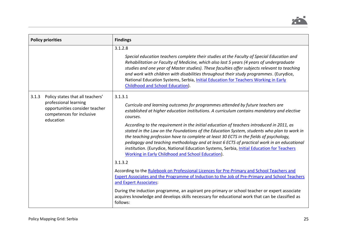

| <b>Policy priorities</b>                                                             |                                  | <b>Findings</b>                                                                                                                                                                                                                                                                                                                                                                                                                                                                                                                  |
|--------------------------------------------------------------------------------------|----------------------------------|----------------------------------------------------------------------------------------------------------------------------------------------------------------------------------------------------------------------------------------------------------------------------------------------------------------------------------------------------------------------------------------------------------------------------------------------------------------------------------------------------------------------------------|
|                                                                                      |                                  | 3.1.2.8<br>Special education teachers complete their studies at the Faculty of Special Education and                                                                                                                                                                                                                                                                                                                                                                                                                             |
|                                                                                      |                                  | Rehabilitation or Faculty of Medicine, which also last 5 years (4 years of undergraduate<br>studies and one year of Master studies). These faculties offer subjects relevant to teaching<br>and work with children with disabilities throughout their study programmes. (Eurydice,<br>National Education Systems, Serbia, Initial Education for Teachers Working in Early<br>Childhood and School Education).                                                                                                                    |
| 3.1.3                                                                                | Policy states that all teachers' | 3.1.3.1                                                                                                                                                                                                                                                                                                                                                                                                                                                                                                                          |
| professional learning<br>opportunities consider teacher<br>competences for inclusive | education                        | Curricula and learning outcomes for programmes attended by future teachers are<br>established at higher education institutions. A curriculum contains mandatory and elective<br>courses.                                                                                                                                                                                                                                                                                                                                         |
|                                                                                      |                                  | According to the requirement in the initial education of teachers introduced in 2011, as<br>stated in the Law on the Foundations of the Education System, students who plan to work in<br>the teaching profession have to complete at least 30 ECTS in the fields of psychology,<br>pedagogy and teaching methodology and at least 6 ECTS of practical work in an educational<br>institution. (Eurydice, National Education Systems, Serbia, Initial Education for Teachers<br>Working in Early Childhood and School Education). |
|                                                                                      | 3.1.3.2                          |                                                                                                                                                                                                                                                                                                                                                                                                                                                                                                                                  |
|                                                                                      |                                  | According to the Rulebook on Professional Licences for Pre-Primary and School Teachers and<br>Expert Associates and the Programme of Induction to the Job of Pre-Primary and School Teachers<br>and Expert Associates:                                                                                                                                                                                                                                                                                                           |
|                                                                                      |                                  | During the induction programme, an aspirant pre-primary or school teacher or expert associate<br>acquires knowledge and develops skills necessary for educational work that can be classified as<br>follows:                                                                                                                                                                                                                                                                                                                     |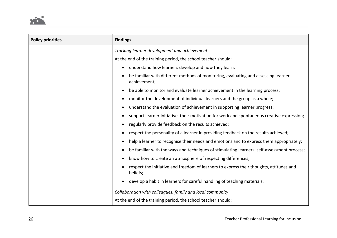

| <b>Policy priorities</b> | <b>Findings</b>                                                                                         |
|--------------------------|---------------------------------------------------------------------------------------------------------|
|                          | Tracking learner development and achievement                                                            |
|                          | At the end of the training period, the school teacher should:                                           |
|                          | understand how learners develop and how they learn;                                                     |
|                          | be familiar with different methods of monitoring, evaluating and assessing learner<br>achievement;      |
|                          | be able to monitor and evaluate learner achievement in the learning process;                            |
|                          | monitor the development of individual learners and the group as a whole;<br>$\bullet$                   |
|                          | understand the evaluation of achievement in supporting learner progress;                                |
|                          | support learner initiative, their motivation for work and spontaneous creative expression;              |
|                          | regularly provide feedback on the results achieved;                                                     |
|                          | respect the personality of a learner in providing feedback on the results achieved;                     |
|                          | help a learner to recognise their needs and emotions and to express them appropriately;                 |
|                          | be familiar with the ways and techniques of stimulating learners' self-assessment process;<br>$\bullet$ |
|                          | know how to create an atmosphere of respecting differences;                                             |
|                          | respect the initiative and freedom of learners to express their thoughts, attitudes and<br>beliefs;     |
|                          | develop a habit in learners for careful handling of teaching materials.                                 |
|                          | Collaboration with colleagues, family and local community                                               |
|                          | At the end of the training period, the school teacher should:                                           |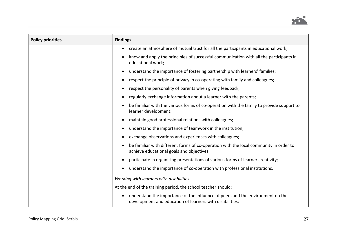

| <b>Policy priorities</b> | <b>Findings</b>                                                                                                                            |
|--------------------------|--------------------------------------------------------------------------------------------------------------------------------------------|
|                          | create an atmosphere of mutual trust for all the participants in educational work;                                                         |
|                          | know and apply the principles of successful communication with all the participants in<br>educational work;                                |
|                          | understand the importance of fostering partnership with learners' families;<br>$\bullet$                                                   |
|                          | respect the principle of privacy in co-operating with family and colleagues;                                                               |
|                          | respect the personality of parents when giving feedback;                                                                                   |
|                          | regularly exchange information about a learner with the parents;                                                                           |
|                          | be familiar with the various forms of co-operation with the family to provide support to<br>learner development;                           |
|                          | maintain good professional relations with colleagues;                                                                                      |
|                          | understand the importance of teamwork in the institution;                                                                                  |
|                          | exchange observations and experiences with colleagues;                                                                                     |
|                          | be familiar with different forms of co-operation with the local community in order to<br>achieve educational goals and objectives;         |
|                          | participate in organising presentations of various forms of learner creativity;                                                            |
|                          | understand the importance of co-operation with professional institutions.                                                                  |
|                          | Working with learners with disabilities                                                                                                    |
|                          | At the end of the training period, the school teacher should:                                                                              |
|                          | understand the importance of the influence of peers and the environment on the<br>development and education of learners with disabilities; |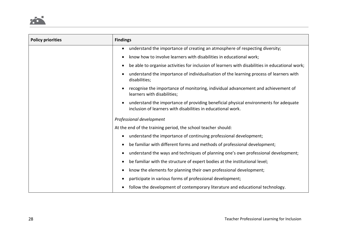

| <b>Policy priorities</b> | <b>Findings</b>                                                                                                                                      |
|--------------------------|------------------------------------------------------------------------------------------------------------------------------------------------------|
|                          | understand the importance of creating an atmosphere of respecting diversity;                                                                         |
|                          | know how to involve learners with disabilities in educational work;                                                                                  |
|                          | be able to organise activities for inclusion of learners with disabilities in educational work;<br>$\bullet$                                         |
|                          | understand the importance of individualisation of the learning process of learners with<br>disabilities;                                             |
|                          | recognise the importance of monitoring, individual advancement and achievement of<br>learners with disabilities;                                     |
|                          | understand the importance of providing beneficial physical environments for adequate<br>inclusion of learners with disabilities in educational work. |
|                          | Professional development                                                                                                                             |
|                          | At the end of the training period, the school teacher should:                                                                                        |
|                          | understand the importance of continuing professional development;                                                                                    |
|                          | be familiar with different forms and methods of professional development;                                                                            |
|                          | understand the ways and techniques of planning one's own professional development;                                                                   |
|                          | be familiar with the structure of expert bodies at the institutional level;                                                                          |
|                          | know the elements for planning their own professional development;                                                                                   |
|                          | participate in various forms of professional development;                                                                                            |
|                          | follow the development of contemporary literature and educational technology.                                                                        |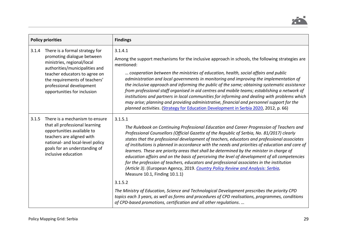

|       | <b>Policy priorities</b>                                                                                                                                                                                                                                  | <b>Findings</b>                                                                                                                                                                                                                                                                                                                                                                                                                                                                                                                                                                                                                                                                                                                                                                                                                                                                                                                                                                                                                                                                                       |
|-------|-----------------------------------------------------------------------------------------------------------------------------------------------------------------------------------------------------------------------------------------------------------|-------------------------------------------------------------------------------------------------------------------------------------------------------------------------------------------------------------------------------------------------------------------------------------------------------------------------------------------------------------------------------------------------------------------------------------------------------------------------------------------------------------------------------------------------------------------------------------------------------------------------------------------------------------------------------------------------------------------------------------------------------------------------------------------------------------------------------------------------------------------------------------------------------------------------------------------------------------------------------------------------------------------------------------------------------------------------------------------------------|
| 3.1.4 | There is a formal strategy for<br>promoting dialogue between<br>ministries, regional/local<br>authorities/municipalities and<br>teacher educators to agree on<br>the requirements of teachers'<br>professional development<br>opportunities for inclusion | 3.1.4.1<br>Among the support mechanisms for the inclusive approach in schools, the following strategies are<br>mentioned:<br>cooperation between the ministries of education, health, social affairs and public<br>administration and local governments in monitoring and improving the implementation of<br>the inclusive approach and informing the public of the same; obtaining systematic assistance<br>from professional staff organised in aid centres and mobile teams; establishing a network of<br>institutions and partners in local communities for informing and dealing with problems which<br>may arise; planning and providing administrative, financial and personnel support for the<br>planned activities. (Strategy for Education Development in Serbia 2020, 2012, p. 66)                                                                                                                                                                                                                                                                                                        |
| 3.1.5 | There is a mechanism to ensure<br>that all professional learning<br>opportunities available to<br>teachers are aligned with<br>national- and local-level policy<br>goals for an understanding of<br>inclusive education                                   | 3.1.5.1<br>The Rulebook on Continuing Professional Education and Career Progression of Teachers and<br>Professional Counsellors (Official Gazette of the Republic of Serbia, No. 81/2017) clearly<br>states that the professional development of teachers, educators and professional associates<br>of institutions is planned in accordance with the needs and priorities of education and care of<br>learners. These are priority areas that shall be determined by the minister in charge of<br>education affairs and on the basis of perceiving the level of development of all competencies<br>for the profession of teachers, educators and professional associates in the institution<br>(Article 3). (European Agency, 2019. Country Policy Review and Analysis: Serbia,<br>Measure 10.1, Finding 10.1.1)<br>3.1.5.2<br>The Ministry of Education, Science and Technological Development prescribes the priority CPD<br>topics each 3 years, as well as forms and procedures of CPD realisations, programmes, conditions<br>of CPD-based promotions, certification and all other regulations. |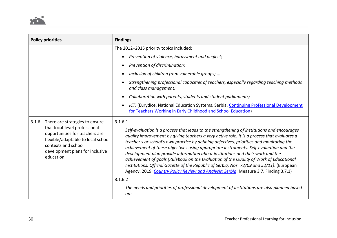

| <b>Policy priorities</b>                                                                                                                                                                                                | <b>Findings</b>                                                                                                                                                                                                                                                                                                                                                                                                                                                                                                                                                                                                                                                                                                                                                           |
|-------------------------------------------------------------------------------------------------------------------------------------------------------------------------------------------------------------------------|---------------------------------------------------------------------------------------------------------------------------------------------------------------------------------------------------------------------------------------------------------------------------------------------------------------------------------------------------------------------------------------------------------------------------------------------------------------------------------------------------------------------------------------------------------------------------------------------------------------------------------------------------------------------------------------------------------------------------------------------------------------------------|
|                                                                                                                                                                                                                         | The 2012-2015 priority topics included:                                                                                                                                                                                                                                                                                                                                                                                                                                                                                                                                                                                                                                                                                                                                   |
|                                                                                                                                                                                                                         | Prevention of violence, harassment and neglect;<br>$\bullet$                                                                                                                                                                                                                                                                                                                                                                                                                                                                                                                                                                                                                                                                                                              |
|                                                                                                                                                                                                                         | Prevention of discrimination;<br>$\bullet$                                                                                                                                                                                                                                                                                                                                                                                                                                                                                                                                                                                                                                                                                                                                |
|                                                                                                                                                                                                                         | Inclusion of children from vulnerable groups;<br>$\bullet$                                                                                                                                                                                                                                                                                                                                                                                                                                                                                                                                                                                                                                                                                                                |
|                                                                                                                                                                                                                         | Strengthening professional capacities of teachers, especially regarding teaching methods<br>and class management;                                                                                                                                                                                                                                                                                                                                                                                                                                                                                                                                                                                                                                                         |
|                                                                                                                                                                                                                         | Collaboration with parents, students and student parliaments;                                                                                                                                                                                                                                                                                                                                                                                                                                                                                                                                                                                                                                                                                                             |
|                                                                                                                                                                                                                         | ICT. (Eurydice, National Education Systems, Serbia, Continuing Professional Development<br>$\bullet$<br>for Teachers Working in Early Childhood and School Education)                                                                                                                                                                                                                                                                                                                                                                                                                                                                                                                                                                                                     |
| There are strategies to ensure<br>3.1.6<br>that local-level professional<br>opportunities for teachers are<br>flexible/adaptable to local school<br>contexts and school<br>development plans for inclusive<br>education | 3.1.6.1<br>Self-evaluation is a process that leads to the strengthening of institutions and encourages<br>quality improvement by giving teachers a very active role. It is a process that evaluates a<br>teacher's or school's own practice by defining objectives, priorities and monitoring the<br>achievement of these objectives using appropriate instruments. Self-evaluation and the<br>development plan provide information about institutions and their work and the<br>achievement of goals (Rulebook on the Evaluation of the Quality of Work of Educational<br>Institutions, Official Gazette of the Republic of Serbia, Nos. 72/09 and 52/11). (European<br>Agency, 2019. Country Policy Review and Analysis: Serbia, Measure 3.7, Finding 3.7.1)<br>3.1.6.2 |
|                                                                                                                                                                                                                         | The needs and priorities of professional development of institutions are also planned based<br>on:                                                                                                                                                                                                                                                                                                                                                                                                                                                                                                                                                                                                                                                                        |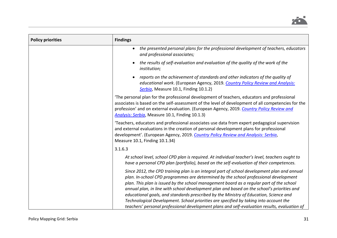

| <b>Policy priorities</b> | <b>Findings</b>                                                                                                                                                                                                                                                                                                                                                                                                                                                                                                                                                                                                                                                 |
|--------------------------|-----------------------------------------------------------------------------------------------------------------------------------------------------------------------------------------------------------------------------------------------------------------------------------------------------------------------------------------------------------------------------------------------------------------------------------------------------------------------------------------------------------------------------------------------------------------------------------------------------------------------------------------------------------------|
|                          | the presented personal plans for the professional development of teachers, educators<br>and professional associates;                                                                                                                                                                                                                                                                                                                                                                                                                                                                                                                                            |
|                          | the results of self-evaluation and evaluation of the quality of the work of the<br>institution;                                                                                                                                                                                                                                                                                                                                                                                                                                                                                                                                                                 |
|                          | reports on the achievement of standards and other indicators of the quality of<br>educational work. (European Agency, 2019. Country Policy Review and Analysis:<br>Serbia, Measure 10.1, Finding 10.1.2)                                                                                                                                                                                                                                                                                                                                                                                                                                                        |
|                          | The personal plan for the professional development of teachers, educators and professional<br>associates is based on the self-assessment of the level of development of all competencies for the<br>profession' and on external evaluation. (European Agency, 2019. Country Policy Review and<br>Analysis: Serbia, Measure 10.1, Finding 10.1.3)                                                                                                                                                                                                                                                                                                                |
|                          | 'Teachers, educators and professional associates use data from expert pedagogical supervision<br>and external evaluations in the creation of personal development plans for professional<br>development'. (European Agency, 2019. Country Policy Review and Analysis: Serbia,<br>Measure 10.1, Finding 10.1.34)                                                                                                                                                                                                                                                                                                                                                 |
|                          | 3.1.6.3                                                                                                                                                                                                                                                                                                                                                                                                                                                                                                                                                                                                                                                         |
|                          | At school level, school CPD plan is required. At individual teacher's level, teachers ought to<br>have a personal CPD plan (portfolio), based on the self-evaluation of their competences.                                                                                                                                                                                                                                                                                                                                                                                                                                                                      |
|                          | Since 2012, the CPD training plan is an integral part of school development plan and annual<br>plan. In-school CPD programmes are determined by the school professional development<br>plan. This plan is issued by the school management board as a regular part of the school<br>annual plan, in line with school development plan and based on the school's priorities and<br>educational goals, and standards prescribed by the Ministry of Education, Science and<br>Technological Development. School priorities are specified by taking into account the<br>teachers' personal professional development plans and self-evaluation results, evaluation of |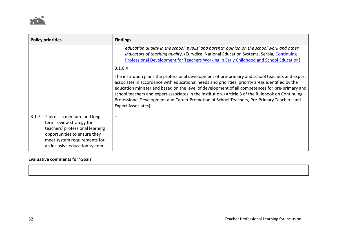| <b>Policy priorities</b>                                                                                                                                                                              | <b>Findings</b>                                                                                                                                                                                                                                                                                                                                                                                                                                                                                                                   |
|-------------------------------------------------------------------------------------------------------------------------------------------------------------------------------------------------------|-----------------------------------------------------------------------------------------------------------------------------------------------------------------------------------------------------------------------------------------------------------------------------------------------------------------------------------------------------------------------------------------------------------------------------------------------------------------------------------------------------------------------------------|
|                                                                                                                                                                                                       | education quality in the school, pupils' and parents' opinion on the school work and other<br>indicators of teaching quality. (Eurydice, National Education Systems, Serbia, Continuing<br>Professional Development for Teachers Working in Early Childhood and School Education)                                                                                                                                                                                                                                                 |
|                                                                                                                                                                                                       | 3.1.6.4                                                                                                                                                                                                                                                                                                                                                                                                                                                                                                                           |
|                                                                                                                                                                                                       | The institution plans the professional development of pre-primary and school teachers and expert<br>associates in accordance with educational needs and priorities, priority areas identified by the<br>education minister and based on the level of development of all competences for pre-primary and<br>school teachers and expert associates in the institution. (Article 3 of the Rulebook on Continuing<br>Professional Development and Career Promotion of School Teachers, Pre-Primary Teachers and<br>Expert Associates) |
| 3.1.7<br>There is a medium- and long-<br>term review strategy for<br>teachers' professional learning<br>opportunities to ensure they<br>meet system requirements for<br>an inclusive education system |                                                                                                                                                                                                                                                                                                                                                                                                                                                                                                                                   |

### **Evaluative comments for 'Goals'**

 $\equiv$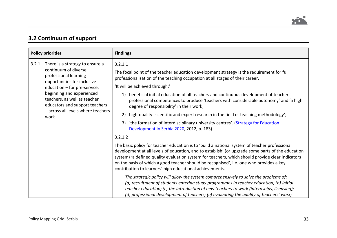# **3.2 Continuum of support**

|       | <b>Policy priorities</b>                                                                                                                                                                                                                                                                     | <b>Findings</b>                                                                                                                                                                                                                                                                                                                                                                                                                                                                                                                                                                                                                                                                                                                                                                                                                                                                                                                                                                                                                                                                                                                                                                                                                                                 |
|-------|----------------------------------------------------------------------------------------------------------------------------------------------------------------------------------------------------------------------------------------------------------------------------------------------|-----------------------------------------------------------------------------------------------------------------------------------------------------------------------------------------------------------------------------------------------------------------------------------------------------------------------------------------------------------------------------------------------------------------------------------------------------------------------------------------------------------------------------------------------------------------------------------------------------------------------------------------------------------------------------------------------------------------------------------------------------------------------------------------------------------------------------------------------------------------------------------------------------------------------------------------------------------------------------------------------------------------------------------------------------------------------------------------------------------------------------------------------------------------------------------------------------------------------------------------------------------------|
| 3.2.1 | There is a strategy to ensure a<br>continuum of diverse<br>professional learning<br>opportunities for inclusive<br>education - for pre-service,<br>beginning and experienced<br>teachers, as well as teacher<br>educators and support teachers<br>- across all levels where teachers<br>work | 3.2.1.1<br>The focal point of the teacher education development strategy is the requirement for full<br>professionalisation of the teaching occupation at all stages of their career.<br>'It will be achieved through:'<br>beneficial initial education of all teachers and continuous development of teachers'<br>1)<br>professional competences to produce 'teachers with considerable autonomy' and 'a high<br>degree of responsibility' in their work;<br>high-quality 'scientific and expert research in the field of teaching methodology';<br>2)<br>3) 'the formation of interdisciplinary university centres'. (Strategy for Education<br>Development in Serbia 2020, 2012, p. 183)<br>3.2.1.2<br>The basic policy for teacher education is to 'build a national system of teacher professional<br>development at all levels of education, and to establish' (or upgrade some parts of the education<br>system) 'a defined quality evaluation system for teachers, which should provide clear indicators<br>on the basis of which a good teacher should be recognised', i.e. one who provides a key<br>contribution to learners' high educational achievements.<br>The strategic policy will allow the system comprehensively to solve the problems of: |
|       |                                                                                                                                                                                                                                                                                              | (a) recruitment of students entering study programmes in teacher education; (b) initial<br>teacher education; (c) the introduction of new teachers to work (internships, licensing);<br>(d) professional development of teachers; (e) evaluating the quality of teachers' work;                                                                                                                                                                                                                                                                                                                                                                                                                                                                                                                                                                                                                                                                                                                                                                                                                                                                                                                                                                                 |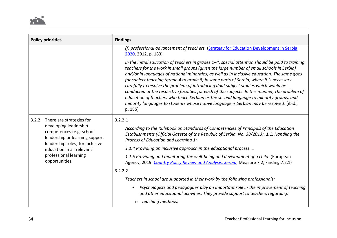|       | <b>Policy priorities</b>                                                                                                                                                                      | <b>Findings</b>                                                                                                                                                                                                                                                                                                                                                                                                                                                                                                                                                                                                                                                                                                                                                                        |
|-------|-----------------------------------------------------------------------------------------------------------------------------------------------------------------------------------------------|----------------------------------------------------------------------------------------------------------------------------------------------------------------------------------------------------------------------------------------------------------------------------------------------------------------------------------------------------------------------------------------------------------------------------------------------------------------------------------------------------------------------------------------------------------------------------------------------------------------------------------------------------------------------------------------------------------------------------------------------------------------------------------------|
|       | (f) professional advancement of teachers. (Strategy for Education Development in Serbia<br>$2020$ , 2012, p. 183)                                                                             |                                                                                                                                                                                                                                                                                                                                                                                                                                                                                                                                                                                                                                                                                                                                                                                        |
|       |                                                                                                                                                                                               | In the initial education of teachers in grades $1-4$ , special attention should be paid to training<br>teachers for the work in small groups (given the large number of small schools in Serbia)<br>and/or in languages of national minorities, as well as in inclusive education. The same goes<br>for subject teaching (grade 4 to grade 8) in some parts of Serbia, where it is necessary<br>carefully to resolve the problem of introducing dual-subject studies which would be<br>conducted at the respective faculties for each of the subjects. In this manner, the problem of<br>education of teachers who teach Serbian as the second language to minority groups, and<br>minority languages to students whose native language is Serbian may be resolved. (ibid.,<br>p. 185) |
| 3.2.2 | There are strategies for                                                                                                                                                                      | 3.2.2.1                                                                                                                                                                                                                                                                                                                                                                                                                                                                                                                                                                                                                                                                                                                                                                                |
|       | developing leadership<br>competences (e.g. school<br>leadership or learning support<br>leadership roles) for inclusive<br>education in all relevant<br>professional learning<br>opportunities | According to the Rulebook on Standards of Competencies of Principals of the Education<br>Establishments (Official Gazette of the Republic of Serbia, No. 38/2013), 1.1: Handling the<br>Process of Education and Learning 1:                                                                                                                                                                                                                                                                                                                                                                                                                                                                                                                                                           |
|       |                                                                                                                                                                                               | 1.1.4 Providing an inclusive approach in the educational process                                                                                                                                                                                                                                                                                                                                                                                                                                                                                                                                                                                                                                                                                                                       |
|       |                                                                                                                                                                                               | 1.1.5 Providing and monitoring the well-being and development of a child. (European<br>Agency, 2019. Country Policy Review and Analysis: Serbia, Measure 7.2, Finding 7.2.1)                                                                                                                                                                                                                                                                                                                                                                                                                                                                                                                                                                                                           |
|       |                                                                                                                                                                                               | 3.2.2.2                                                                                                                                                                                                                                                                                                                                                                                                                                                                                                                                                                                                                                                                                                                                                                                |
|       |                                                                                                                                                                                               | Teachers in school are supported in their work by the following professionals:                                                                                                                                                                                                                                                                                                                                                                                                                                                                                                                                                                                                                                                                                                         |
|       |                                                                                                                                                                                               | Psychologists and pedagogues play an important role in the improvement of teaching<br>and other educational activities. They provide support to teachers regarding:                                                                                                                                                                                                                                                                                                                                                                                                                                                                                                                                                                                                                    |
|       |                                                                                                                                                                                               | $\circ$ teaching methods,                                                                                                                                                                                                                                                                                                                                                                                                                                                                                                                                                                                                                                                                                                                                                              |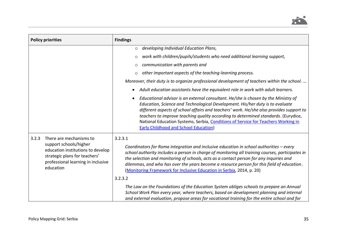

| <b>Policy priorities</b>                                                                                                                                                            | <b>Findings</b>                                                                                                                                                                                                                                                                                                                                                                                                                                                                           |
|-------------------------------------------------------------------------------------------------------------------------------------------------------------------------------------|-------------------------------------------------------------------------------------------------------------------------------------------------------------------------------------------------------------------------------------------------------------------------------------------------------------------------------------------------------------------------------------------------------------------------------------------------------------------------------------------|
|                                                                                                                                                                                     | developing Individual Education Plans,<br>$\circ$                                                                                                                                                                                                                                                                                                                                                                                                                                         |
|                                                                                                                                                                                     | work with children/pupils/students who need additional learning support,<br>$\circ$                                                                                                                                                                                                                                                                                                                                                                                                       |
|                                                                                                                                                                                     | communication with parents and<br>O                                                                                                                                                                                                                                                                                                                                                                                                                                                       |
|                                                                                                                                                                                     | other important aspects of the teaching-learning process.<br>$\circ$                                                                                                                                                                                                                                                                                                                                                                                                                      |
|                                                                                                                                                                                     | Moreover, their duty is to organize professional development of teachers within the school.                                                                                                                                                                                                                                                                                                                                                                                               |
|                                                                                                                                                                                     | Adult education assistants have the equivalent role in work with adult learners.                                                                                                                                                                                                                                                                                                                                                                                                          |
|                                                                                                                                                                                     | Educational advisor is an external consultant. He/she is chosen by the Ministry of<br>Education, Science and Technological Development. His/her duty is to evaluate<br>different aspects of school affairs and teachers' work. He/she also provides support to<br>teachers to improve teaching quality according to determined standards. (Eurydice,<br>National Education Systems, Serbia, Conditions of Service for Teachers Working in<br><b>Early Childhood and School Education)</b> |
| There are mechanisms to<br>3.2.3<br>support schools/higher<br>education institutions to develop<br>strategic plans for teachers'<br>professional learning in inclusive<br>education | 3.2.3.1<br>Coordinators for Roma integration and inclusive education in school authorities - every<br>school authority includes a person in charge of monitoring all training courses, participates in<br>the selection and monitoring of schools, acts as a contact person for any inquiries and<br>dilemmas, and who has over the years become a resource person for this field of education.<br>(Monitoring Framework for Inclusive Education in Serbia, 2014, p. 20)                  |
|                                                                                                                                                                                     | 3.2.3.2                                                                                                                                                                                                                                                                                                                                                                                                                                                                                   |
|                                                                                                                                                                                     | The Law on the Foundations of the Education System obliges schools to prepare an Annual<br>School Work Plan every year, where teachers, based on development planning and internal<br>and external evaluation, propose areas for vocational training for the entire school and for                                                                                                                                                                                                        |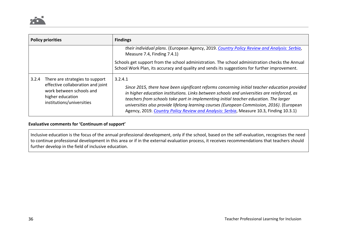| <b>Policy priorities</b>                                                                                                                                   | <b>Findings</b>                                                                                                                                                                                                                                                                                                                                                                                                                                                                           |
|------------------------------------------------------------------------------------------------------------------------------------------------------------|-------------------------------------------------------------------------------------------------------------------------------------------------------------------------------------------------------------------------------------------------------------------------------------------------------------------------------------------------------------------------------------------------------------------------------------------------------------------------------------------|
|                                                                                                                                                            | their individual plans. (European Agency, 2019. Country Policy Review and Analysis: Serbia,<br>Measure 7.4, Finding 7.4.1)                                                                                                                                                                                                                                                                                                                                                                |
|                                                                                                                                                            | Schools get support from the school administration. The school administration checks the Annual<br>School Work Plan, its accuracy and quality and sends its suggestions for further improvement.                                                                                                                                                                                                                                                                                          |
| There are strategies to support<br>3.2.4<br>effective collaboration and joint<br>work between schools and<br>higher education<br>institutions/universities | 3.2.4.1<br>Since 2015, there have been significant reforms concerning initial teacher education provided<br>in higher education institutions. Links between schools and universities are reinforced, as<br>teachers from schools take part in implementing initial teacher education. The larger<br>universities also provide lifelong learning courses (European Commission, 2016). (European<br>Agency, 2019. Country Policy Review and Analysis: Serbia, Measure 10.3, Finding 10.3.1) |

### **Evaluative comments for 'Continuum of support'**

Inclusive education is the focus of the annual professional development, only if the school, based on the self-evaluation, recognises the need to continue professional development in this area or if in the external evaluation process, it receives recommendations that teachers should further develop in the field of inclusive education.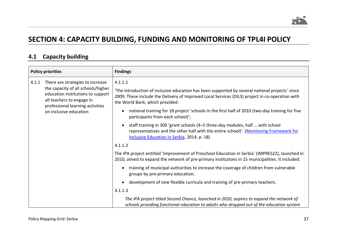

# **SECTION 4: CAPACITY BUILDING, FUNDING AND MONITORING OF TPL4I POLICY**

### **4.1 Capacity building**

|       | <b>Policy priorities</b>                                                                                                                 | <b>Findings</b>                                                                                                                                                                                                                                 |
|-------|------------------------------------------------------------------------------------------------------------------------------------------|-------------------------------------------------------------------------------------------------------------------------------------------------------------------------------------------------------------------------------------------------|
| 4.1.1 | There are strategies to increase<br>the capacity of all schools/higher<br>education institutions to support<br>all teachers to engage in | 4.1.1.1<br>The introduction of inclusive education has been supported by several national projects' since<br>2009. These include the Delivery of Improved Local Services (DILS) project in co-operation with<br>the World Bank, which provided: |
|       | professional learning activities<br>on inclusive education                                                                               | national training for 18 project 'schools in the first half of 2010 (two-day training for five<br>participants from each school)';                                                                                                              |
|       |                                                                                                                                          | staff training in 300 'grant schools (4–5 three-day modules, half  with school<br>representatives and the other half with the entire school)'. (Monitoring Framework for<br>Inclusive Education in Serbia, 2014, p. 18)                         |
|       |                                                                                                                                          | 4.1.1.2                                                                                                                                                                                                                                         |
|       |                                                                                                                                          | The IPA project entitled 'Improvement of Preschool Education in Serbia' (IMPRES22), launched in<br>2010, aimed to expand the network of pre-primary institutions in 15 municipalities. It included:                                             |
|       |                                                                                                                                          | training of municipal authorities to increase the coverage of children from vulnerable<br>groups by pre-primary education;                                                                                                                      |
|       |                                                                                                                                          | development of new flexible curricula and training of pre-primary teachers.                                                                                                                                                                     |
|       |                                                                                                                                          | 4.1.1.3                                                                                                                                                                                                                                         |
|       |                                                                                                                                          | The IPA project titled Second Chance, launched in 2010, aspires to expand the network of<br>schools providing functional education to adults who dropped out of the education system                                                            |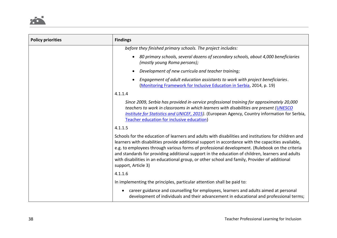

| <b>Policy priorities</b> | <b>Findings</b>                                                                                                                                                                                                                                                                                                                                                                                                                                                                                                                          |
|--------------------------|------------------------------------------------------------------------------------------------------------------------------------------------------------------------------------------------------------------------------------------------------------------------------------------------------------------------------------------------------------------------------------------------------------------------------------------------------------------------------------------------------------------------------------------|
|                          | before they finished primary schools. The project includes:                                                                                                                                                                                                                                                                                                                                                                                                                                                                              |
|                          | 80 primary schools, several dozens of secondary schools, about 4,000 beneficiaries<br>(mostly young Roma persons);                                                                                                                                                                                                                                                                                                                                                                                                                       |
|                          | Development of new curricula and teacher training;                                                                                                                                                                                                                                                                                                                                                                                                                                                                                       |
|                          | Engagement of adult education assistants to work with project beneficiaries.<br>(Monitoring Framework for Inclusive Education in Serbia, 2014, p. 19)                                                                                                                                                                                                                                                                                                                                                                                    |
|                          | 4.1.1.4                                                                                                                                                                                                                                                                                                                                                                                                                                                                                                                                  |
|                          | Since 2009, Serbia has provided in-service professional training for approximately 20,000<br>teachers to work in classrooms in which learners with disabilities are present (UNESCO<br>Institute for Statistics and UNICEF, 2015). (European Agency, Country information for Serbia,<br>Teacher education for inclusive education)                                                                                                                                                                                                       |
|                          | 4.1.1.5                                                                                                                                                                                                                                                                                                                                                                                                                                                                                                                                  |
|                          | Schools for the education of learners and adults with disabilities and institutions for children and<br>learners with disabilities provide additional support in accordance with the capacities available,<br>e.g. to employees through various forms of professional development. (Rulebook on the criteria<br>and standards for providing additional support in the education of children, learners and adults<br>with disabilities in an educational group, or other school and family, Provider of additional<br>support, Article 3) |
|                          | 4.1.1.6                                                                                                                                                                                                                                                                                                                                                                                                                                                                                                                                  |
|                          | In implementing the principles, particular attention shall be paid to:                                                                                                                                                                                                                                                                                                                                                                                                                                                                   |
|                          | career guidance and counselling for employees, learners and adults aimed at personal<br>development of individuals and their advancement in educational and professional terms;                                                                                                                                                                                                                                                                                                                                                          |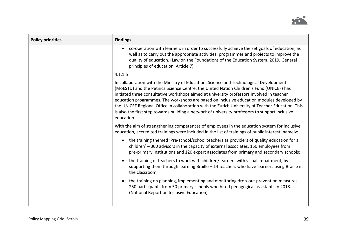

| <b>Policy priorities</b> | <b>Findings</b>                                                                                                                                                                                                                                                                                                                                                                                                                                                                                                                                                                                   |
|--------------------------|---------------------------------------------------------------------------------------------------------------------------------------------------------------------------------------------------------------------------------------------------------------------------------------------------------------------------------------------------------------------------------------------------------------------------------------------------------------------------------------------------------------------------------------------------------------------------------------------------|
|                          | co-operation with learners in order to successfully achieve the set goals of education, as<br>well as to carry out the appropriate activities, programmes and projects to improve the<br>quality of education. (Law on the Foundations of the Education System, 2019, General<br>principles of education, Article 7)                                                                                                                                                                                                                                                                              |
|                          | 4.1.1.5                                                                                                                                                                                                                                                                                                                                                                                                                                                                                                                                                                                           |
|                          | In collaboration with the Ministry of Education, Science and Technological Development<br>(MoESTD) and the Petnica Science Centre, the United Nation Children's Fund (UNICEF) has<br>initiated three consultative workshops aimed at university professors involved in teacher<br>education programmes. The workshops are based on inclusive education modules developed by<br>the UNICEF Regional Office in collaboration with the Zurich University of Teacher Education. This<br>is also the first step towards building a network of university professors to support inclusive<br>education. |
|                          | With the aim of strengthening competences of employees in the education system for inclusive<br>education, accredited trainings were included in the list of trainings of public interest, namely:                                                                                                                                                                                                                                                                                                                                                                                                |
|                          | the training themed 'Pre-school/school teachers as providers of quality education for all<br>$\bullet$<br>children' - 300 advisors in the capacity of external associates, 150 employees from<br>pre-primary institutions and 120 expert associates from primary and secondary schools;                                                                                                                                                                                                                                                                                                           |
|                          | the training of teachers to work with children/learners with visual impairment, by<br>$\bullet$<br>supporting them through learning Braille - 14 teachers who have learners using Braille in<br>the classroom;                                                                                                                                                                                                                                                                                                                                                                                    |
|                          | the training on planning, implementing and monitoring drop-out prevention measures -<br>250 participants from 50 primary schools who hired pedagogical assistants in 2018.<br>(National Report on Inclusive Education)                                                                                                                                                                                                                                                                                                                                                                            |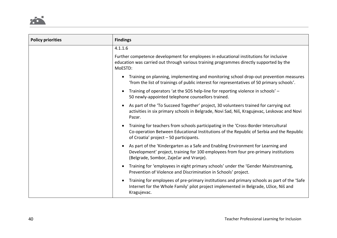

| <b>Policy priorities</b> | <b>Findings</b>                                                                                                                                                                                                            |
|--------------------------|----------------------------------------------------------------------------------------------------------------------------------------------------------------------------------------------------------------------------|
|                          | 4.1.1.6                                                                                                                                                                                                                    |
|                          | Further competence development for employees in educational institutions for inclusive<br>education was carried out through various training programmes directly supported by the<br>MoESTD:                               |
|                          | Training on planning, implementing and monitoring school drop-out prevention measures<br>'from the list of trainings of public interest for representatives of 50 primary schools'.                                        |
|                          | Training of operators 'at the SOS help-line for reporting violence in schools' -<br>50 newly-appointed telephone counsellors trained.                                                                                      |
|                          | As part of the 'To Succeed Together' project, 30 volunteers trained for carrying out<br>activities in six primary schools in Belgrade, Novi Sad, Niš, Kragujevac, Leskovac and Novi<br>Pazar.                              |
|                          | Training for teachers from schools participating in the 'Cross-Border Intercultural<br>Co-operation Between Educational Institutions of the Republic of Serbia and the Republic<br>of Croatia' project $-50$ participants. |
|                          | As part of the 'Kindergarten as a Safe and Enabling Environment for Learning and<br>Development' project, training for 100 employees from four pre-primary institutions<br>(Belgrade, Sombor, Zaječar and Vranje).         |
|                          | Training for 'employees in eight primary schools' under the 'Gender Mainstreaming,<br>Prevention of Violence and Discrimination in Schools' project.                                                                       |
|                          | Training for employees of pre-primary institutions and primary schools as part of the 'Safe<br>Internet for the Whole Family' pilot project implemented in Belgrade, Užice, Niš and<br>Kragujevac.                         |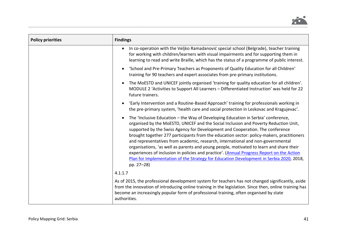

| <b>Policy priorities</b> | <b>Findings</b>                                                                                                                                                                                                                                                                                                                                                                                                                                                                                                                                                                                                                                                                                                                             |
|--------------------------|---------------------------------------------------------------------------------------------------------------------------------------------------------------------------------------------------------------------------------------------------------------------------------------------------------------------------------------------------------------------------------------------------------------------------------------------------------------------------------------------------------------------------------------------------------------------------------------------------------------------------------------------------------------------------------------------------------------------------------------------|
|                          | In co-operation with the Veljko Ramadanović special school (Belgrade), teacher training<br>for working with children/learners with visual impairments and for supporting them in<br>learning to read and write Braille, which has the status of a programme of public interest.                                                                                                                                                                                                                                                                                                                                                                                                                                                             |
|                          | 'School and Pre-Primary Teachers as Proponents of Quality Education for all Children'<br>training for 90 teachers and expert associates from pre-primary institutions.                                                                                                                                                                                                                                                                                                                                                                                                                                                                                                                                                                      |
|                          | The MoESTD and UNICEF jointly organised 'training for quality education for all children'.<br>MODULE 2 'Activities to Support All Learners - Differentiated Instruction' was held for 22<br>future trainers.                                                                                                                                                                                                                                                                                                                                                                                                                                                                                                                                |
|                          | 'Early Intervention and a Routine-Based Approach' training for professionals working in<br>the pre-primary system, 'health care and social protection in Leskovac and Kragujevac'.                                                                                                                                                                                                                                                                                                                                                                                                                                                                                                                                                          |
|                          | The 'Inclusive Education - the Way of Developing Education in Serbia' conference,<br>organised by the MoESTD, UNICEF and the Social Inclusion and Poverty Reduction Unit,<br>supported by the Swiss Agency for Development and Cooperation. The conference<br>brought together 277 participants from the education sector: policy-makers, practitioners<br>and representatives from academic, research, international and non-governmental<br>organisations, 'as well as parents and young people, motivated to learn and share their<br>experiences of inclusion in policies and practice'. (Annual Progress Report on the Action<br>Plan for Implementation of the Strategy for Education Development in Serbia 2020, 2018,<br>pp. 27-28) |
|                          | 4.1.1.7                                                                                                                                                                                                                                                                                                                                                                                                                                                                                                                                                                                                                                                                                                                                     |
|                          | As of 2015, the professional development system for teachers has not changed significantly, aside<br>from the innovation of introducing online training in the legislation. Since then, online training has<br>become an increasingly popular form of professional training, often organised by state<br>authorities.                                                                                                                                                                                                                                                                                                                                                                                                                       |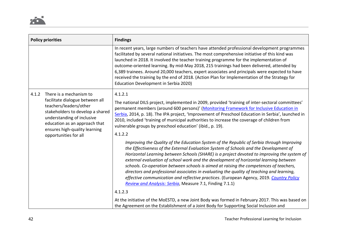|       | <b>Policy priorities</b>                                                                                                                                                                                                                          | <b>Findings</b>                                                                                                                                                                                                                                                                                                                                                                                                                                                                                                                                                                                                                                                                                                                                                                                                                                                                                                                                                                                                                                                                                                                                                                                                              |
|-------|---------------------------------------------------------------------------------------------------------------------------------------------------------------------------------------------------------------------------------------------------|------------------------------------------------------------------------------------------------------------------------------------------------------------------------------------------------------------------------------------------------------------------------------------------------------------------------------------------------------------------------------------------------------------------------------------------------------------------------------------------------------------------------------------------------------------------------------------------------------------------------------------------------------------------------------------------------------------------------------------------------------------------------------------------------------------------------------------------------------------------------------------------------------------------------------------------------------------------------------------------------------------------------------------------------------------------------------------------------------------------------------------------------------------------------------------------------------------------------------|
|       |                                                                                                                                                                                                                                                   | In recent years, large numbers of teachers have attended professional development programmes<br>facilitated by several national initiatives. The most comprehensive initiative of this kind was<br>launched in 2018. It involved the teacher training programme for the implementation of<br>outcome-oriented learning. By mid-May 2018, 215 trainings had been delivered, attended by<br>6,389 trainees. Around 20,000 teachers, expert associates and principals were expected to have<br>received the training by the end of 2018. (Action Plan for Implementation of the Strategy for<br>Education Development in Serbia 2020)                                                                                                                                                                                                                                                                                                                                                                                                                                                                                                                                                                                           |
| 4.1.2 | There is a mechanism to<br>facilitate dialogue between all<br>teachers/leaders/other<br>stakeholders to develop a shared<br>understanding of inclusive<br>education as an approach that<br>ensures high-quality learning<br>opportunities for all | 4.1.2.1<br>The national DILS project, implemented in 2009, provided 'training of inter-sectoral committees'<br>permanent members (around 600 persons)' (Monitoring Framework for Inclusive Education in<br>Serbia, 2014, p. 18). The IPA project, 'Improvement of Preschool Education in Serbia', launched in<br>2010, included 'training of municipal authorities to increase the coverage of children from<br>vulnerable groups by preschool education' (ibid., p. 19).<br>4.1.2.2<br>Improving the Quality of the Education System of the Republic of Serbia through Improving<br>the Effectiveness of the External Evaluation System of Schools and the Development of<br>Horizontal Learning between Schools (SHARE) is a project devoted to improving the system of<br>external evaluation of school work and the development of horizontal learning between<br>schools. Co-operation between schools is aimed at raising the competences of teachers,<br>directors and professional associates in evaluating the quality of teaching and learning,<br>effective communication and reflective practices. (European Agency, 2019. Country Policy<br>Review and Analysis: Serbia, Measure 7.1, Finding 7.1.1)<br>4.1.2.3 |
|       |                                                                                                                                                                                                                                                   | At the initiative of the MoESTD, a new Joint Body was formed in February 2017. This was based on<br>the Agreement on the Establishment of a Joint Body for Supporting Social Inclusion and                                                                                                                                                                                                                                                                                                                                                                                                                                                                                                                                                                                                                                                                                                                                                                                                                                                                                                                                                                                                                                   |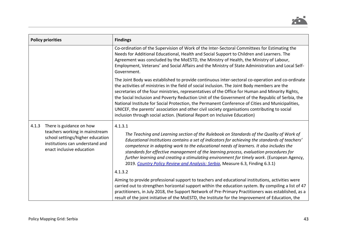

|       | <b>Policy priorities</b>                                                                                                                                                                                                                                                                                                                                                                                | <b>Findings</b>                                                                                                                                                                                                                                                                                                                                                                                                                                                                                                                                                                                                                                                                             |
|-------|---------------------------------------------------------------------------------------------------------------------------------------------------------------------------------------------------------------------------------------------------------------------------------------------------------------------------------------------------------------------------------------------------------|---------------------------------------------------------------------------------------------------------------------------------------------------------------------------------------------------------------------------------------------------------------------------------------------------------------------------------------------------------------------------------------------------------------------------------------------------------------------------------------------------------------------------------------------------------------------------------------------------------------------------------------------------------------------------------------------|
|       | Co-ordination of the Supervision of Work of the Inter-Sectoral Committees for Estimating the<br>Needs for Additional Educational, Health and Social Support to Children and Learners. The<br>Agreement was concluded by the MoESTD, the Ministry of Health, the Ministry of Labour,<br>Employment, Veterans' and Social Affairs and the Ministry of State Administration and Local Self-<br>Government. |                                                                                                                                                                                                                                                                                                                                                                                                                                                                                                                                                                                                                                                                                             |
|       |                                                                                                                                                                                                                                                                                                                                                                                                         | The Joint Body was established to provide continuous inter-sectoral co-operation and co-ordinate<br>the activities of ministries in the field of social inclusion. The Joint Body members are the<br>secretaries of the four ministries, representatives of the Office for Human and Minority Rights,<br>the Social Inclusion and Poverty Reduction Unit of the Government of the Republic of Serbia, the<br>National Institute for Social Protection, the Permanent Conference of Cities and Municipalities,<br>UNICEF, the parents' association and other civil society organisations contributing to social<br>inclusion through social action. (National Report on Inclusive Education) |
| 4.1.3 | There is guidance on how<br>teachers working in mainstream<br>school settings/higher education<br>institutions can understand and<br>enact inclusive education                                                                                                                                                                                                                                          | 4.1.3.1<br>The Teaching and Learning section of the Rulebook on Standards of the Quality of Work of<br>Educational Institutions contains a set of indicators for achieving the standards of teachers'<br>competence in adapting work to the educational needs of learners. It also includes the<br>standards for effective management of the learning process, evaluation procedures for<br>further learning and creating a stimulating environment for timely work. (European Agency,<br>2019. Country Policy Review and Analysis: Serbia, Measure 6.3, Finding 6.3.1)                                                                                                                     |
|       |                                                                                                                                                                                                                                                                                                                                                                                                         | 4.1.3.2                                                                                                                                                                                                                                                                                                                                                                                                                                                                                                                                                                                                                                                                                     |
|       |                                                                                                                                                                                                                                                                                                                                                                                                         | Aiming to provide professional support to teachers and educational institutions, activities were<br>carried out to strengthen horizontal support within the education system. By compiling a list of 47<br>practitioners, in July 2018, the Support Network of Pre-Primary Practitioners was established, as a<br>result of the joint initiative of the MoESTD, the Institute for the Improvement of Education, the                                                                                                                                                                                                                                                                         |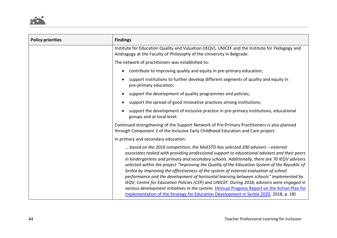

| <b>Policy priorities</b> | <b>Findings</b>                                                                                                                                                                                                                                                                                                                                                                                                                                                                                                                                                                                                                                                                                                                                                                                                                                             |
|--------------------------|-------------------------------------------------------------------------------------------------------------------------------------------------------------------------------------------------------------------------------------------------------------------------------------------------------------------------------------------------------------------------------------------------------------------------------------------------------------------------------------------------------------------------------------------------------------------------------------------------------------------------------------------------------------------------------------------------------------------------------------------------------------------------------------------------------------------------------------------------------------|
|                          | Institute for Education Quality and Valuation (IEQV), UNICEF and the Institute for Pedagogy and<br>Andragogy at the Faculty of Philosophy of the University in Belgrade.                                                                                                                                                                                                                                                                                                                                                                                                                                                                                                                                                                                                                                                                                    |
|                          | The network of practitioners was established to:                                                                                                                                                                                                                                                                                                                                                                                                                                                                                                                                                                                                                                                                                                                                                                                                            |
|                          | contribute to improving quality and equity in pre-primary education;                                                                                                                                                                                                                                                                                                                                                                                                                                                                                                                                                                                                                                                                                                                                                                                        |
|                          | support institutions to further develop different segments of quality and equity in<br>pre-primary education;                                                                                                                                                                                                                                                                                                                                                                                                                                                                                                                                                                                                                                                                                                                                               |
|                          | support the development of quality programmes and policies;                                                                                                                                                                                                                                                                                                                                                                                                                                                                                                                                                                                                                                                                                                                                                                                                 |
|                          | support the spread of good innovative practices among institutions;                                                                                                                                                                                                                                                                                                                                                                                                                                                                                                                                                                                                                                                                                                                                                                                         |
|                          | support the development of inclusive practice in pre-primary institutions, educational<br>groups and at local level.                                                                                                                                                                                                                                                                                                                                                                                                                                                                                                                                                                                                                                                                                                                                        |
|                          | Continued strengthening of the Support Network of Pre-Primary Practitioners is also planned<br>through Component 2 of the Inclusive Early Childhood Education and Care project.                                                                                                                                                                                                                                                                                                                                                                                                                                                                                                                                                                                                                                                                             |
|                          | In primary and secondary education:                                                                                                                                                                                                                                                                                                                                                                                                                                                                                                                                                                                                                                                                                                                                                                                                                         |
|                          | based on the 2016 competition, the MoESTD has selected 200 advisers – external<br>associates tasked with providing professional support to educational advisers and their peers<br>in kindergartens and primary and secondary schools. Additionally, there are 70 IEQV advisers<br>selected within the project "Improving the Quality of the Education System of the Republic of<br>Serbia by improving the effectiveness of the system of external evaluation of school<br>performance and the development of horizontal learning between schools" implemented by<br>IEQV, Centre for Education Policies (CEP) and UNICEF. During 2018, advisers were engaged in<br>various development initiatives in the system. (Annual Progress Report on the Action Plan for<br>Implementation of the Strategy for Education Development in Serbia 2020, 2018, p. 18) |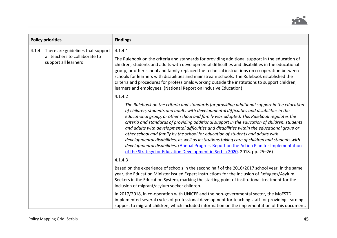

|                                                                 | <b>Policy priorities</b>          | <b>Findings</b>                                                                                                                                                                                                                                                                                                                                                                                                                                                                                                                                                                                                                                                                                                                                                                                                                                                         |
|-----------------------------------------------------------------|-----------------------------------|-------------------------------------------------------------------------------------------------------------------------------------------------------------------------------------------------------------------------------------------------------------------------------------------------------------------------------------------------------------------------------------------------------------------------------------------------------------------------------------------------------------------------------------------------------------------------------------------------------------------------------------------------------------------------------------------------------------------------------------------------------------------------------------------------------------------------------------------------------------------------|
| 4.1.4<br>all teachers to collaborate to<br>support all learners | There are guidelines that support | 4.1.4.1<br>The Rulebook on the criteria and standards for providing additional support in the education of<br>children, students and adults with developmental difficulties and disabilities in the educational<br>group, or other school and family replaced the technical instructions on co-operation between<br>schools for learners with disabilities and mainstream schools. The Rulebook established the<br>criteria and procedures for professionals working outside the institutions to support children,<br>learners and employees. (National Report on Inclusive Education)                                                                                                                                                                                                                                                                                  |
|                                                                 |                                   | 4.1.4.2<br>The Rulebook on the criteria and standards for providing additional support in the education<br>of children, students and adults with developmental difficulties and disabilities in the<br>educational group, or other school and family was adopted. This Rulebook regulates the<br>criteria and standards of providing additional support in the education of children, students<br>and adults with developmental difficulties and disabilities within the educational group or<br>other school and family by the school for education of students and adults with<br>developmental disabilities, as well as institutions taking care of children and students with<br>developmental disabilities. (Annual Progress Report on the Action Plan for Implementation<br>of the Strategy for Education Development in Serbia 2020, 2018, pp. 25-26)<br>4.1.4.3 |
|                                                                 |                                   | Based on the experience of schools in the second half of the 2016/2017 school year, in the same<br>year, the Education Minister issued Expert Instructions for the Inclusion of Refugees/Asylum<br>Seekers in the Education System, marking the starting point of institutional treatment for the<br>inclusion of migrant/asylum seeker children.<br>In 2017/2018, in co-operation with UNICEF and the non-governmental sector, the MoESTD<br>implemented several cycles of professional development for teaching staff for providing learning<br>support to migrant children, which included information on the implementation of this document.                                                                                                                                                                                                                       |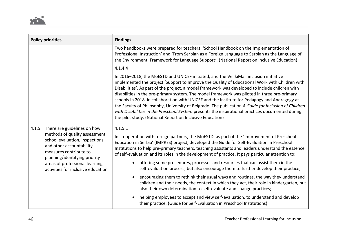

| <b>Policy priorities</b>                                                                                                                                                                        | <b>Findings</b>                                                                                                                                                                                                                                                                                                                                                                                                                                                                                                                                                                                                                                                                                                                                                       |
|-------------------------------------------------------------------------------------------------------------------------------------------------------------------------------------------------|-----------------------------------------------------------------------------------------------------------------------------------------------------------------------------------------------------------------------------------------------------------------------------------------------------------------------------------------------------------------------------------------------------------------------------------------------------------------------------------------------------------------------------------------------------------------------------------------------------------------------------------------------------------------------------------------------------------------------------------------------------------------------|
|                                                                                                                                                                                                 | Two handbooks were prepared for teachers: 'School Handbook on the Implementation of<br>Professional Instruction' and 'From Serbian as a Foreign Language to Serbian as the Language of<br>the Environment: Framework for Language Support'. (National Report on Inclusive Education)                                                                                                                                                                                                                                                                                                                                                                                                                                                                                  |
|                                                                                                                                                                                                 | 4.1.4.4                                                                                                                                                                                                                                                                                                                                                                                                                                                                                                                                                                                                                                                                                                                                                               |
|                                                                                                                                                                                                 | In 2016-2018, the MoESTD and UNICEF initiated, and the VelikiMali inclusion initiative<br>implemented the project 'Support to Improve the Quality of Educational Work with Children with<br>Disabilities'. As part of the project, a model framework was developed to include children with<br>disabilities in the pre-primary system. The model framework was piloted in three pre-primary<br>schools in 2018, in collaboration with UNICEF and the Institute for Pedagogy and Andragogy at<br>the Faculty of Philosophy, University of Belgrade. The publication A Guide for Inclusion of Children<br>with Disabilities in the Preschool System presents the inspirational practices documented during<br>the pilot study. (National Report on Inclusive Education) |
| 4.1.5<br>There are guidelines on how<br>methods of quality assessment,<br>school evaluation, inspections<br>and other accountability<br>measures contribute to<br>planning/identifying priority | 4.1.5.1<br>In co-operation with foreign partners, the MoESTD, as part of the 'Improvement of Preschool<br>Education in Serbia' (IMPRES) project, developed the Guide for Self-Evaluation in Preschool<br>Institutions to help pre-primary teachers, teaching assistants and leaders understand the essence<br>of self-evaluation and its roles in the development of practice. It pays particular attention to:                                                                                                                                                                                                                                                                                                                                                       |
| areas of professional learning<br>activities for inclusive education                                                                                                                            | offering some procedures, processes and resources that can assist them in the<br>self-evaluation process, but also encourage them to further develop their practice;                                                                                                                                                                                                                                                                                                                                                                                                                                                                                                                                                                                                  |
|                                                                                                                                                                                                 | encouraging them to rethink their usual ways and routines, the way they understand<br>children and their needs, the context in which they act, their role in kindergarten, but<br>also their own determination to self-evaluate and change practices;                                                                                                                                                                                                                                                                                                                                                                                                                                                                                                                 |
|                                                                                                                                                                                                 | helping employees to accept and view self-evaluation, to understand and develop<br>their practice. (Guide for Self-Evaluation in Preschool Institutions)                                                                                                                                                                                                                                                                                                                                                                                                                                                                                                                                                                                                              |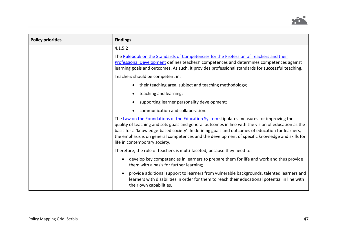

| <b>Policy priorities</b> | <b>Findings</b>                                                                                                                                                                                                                                                                                                                                                                                                                         |
|--------------------------|-----------------------------------------------------------------------------------------------------------------------------------------------------------------------------------------------------------------------------------------------------------------------------------------------------------------------------------------------------------------------------------------------------------------------------------------|
|                          | 4.1.5.2                                                                                                                                                                                                                                                                                                                                                                                                                                 |
|                          | The Rulebook on the Standards of Competencies for the Profession of Teachers and their<br>Professional Development defines teachers' competences and determines competences against<br>learning goals and outcomes. As such, it provides professional standards for successful teaching.                                                                                                                                                |
|                          | Teachers should be competent in:                                                                                                                                                                                                                                                                                                                                                                                                        |
|                          | their teaching area, subject and teaching methodology;                                                                                                                                                                                                                                                                                                                                                                                  |
|                          | teaching and learning;                                                                                                                                                                                                                                                                                                                                                                                                                  |
|                          | supporting learner personality development;                                                                                                                                                                                                                                                                                                                                                                                             |
|                          | communication and collaboration.                                                                                                                                                                                                                                                                                                                                                                                                        |
|                          | The Law on the Foundations of the Education System stipulates measures for improving the<br>quality of teaching and sets goals and general outcomes in line with the vision of education as the<br>basis for a 'knowledge-based society'. In defining goals and outcomes of education for learners,<br>the emphasis is on general competences and the development of specific knowledge and skills for<br>life in contemporary society. |
|                          | Therefore, the role of teachers is multi-faceted, because they need to:                                                                                                                                                                                                                                                                                                                                                                 |
|                          | develop key competencies in learners to prepare them for life and work and thus provide<br>them with a basis for further learning;                                                                                                                                                                                                                                                                                                      |
|                          | provide additional support to learners from vulnerable backgrounds, talented learners and<br>learners with disabilities in order for them to reach their educational potential in line with<br>their own capabilities.                                                                                                                                                                                                                  |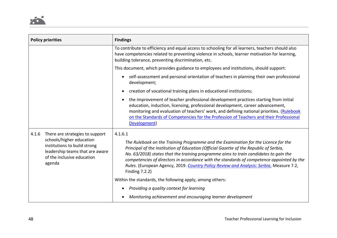

| <b>Policy priorities</b>                                                                                                                                                        | <b>Findings</b>                                                                                                                                                                                                                                                                                                                                                                                                                                                                           |
|---------------------------------------------------------------------------------------------------------------------------------------------------------------------------------|-------------------------------------------------------------------------------------------------------------------------------------------------------------------------------------------------------------------------------------------------------------------------------------------------------------------------------------------------------------------------------------------------------------------------------------------------------------------------------------------|
|                                                                                                                                                                                 | To contribute to efficiency and equal access to schooling for all learners, teachers should also<br>have competencies related to preventing violence in schools, learner motivation for learning,<br>building tolerance, preventing discrimination, etc.                                                                                                                                                                                                                                  |
|                                                                                                                                                                                 | This document, which provides guidance to employees and institutions, should support:                                                                                                                                                                                                                                                                                                                                                                                                     |
|                                                                                                                                                                                 | self-assessment and personal orientation of teachers in planning their own professional<br>development;                                                                                                                                                                                                                                                                                                                                                                                   |
|                                                                                                                                                                                 | creation of vocational training plans in educational institutions;                                                                                                                                                                                                                                                                                                                                                                                                                        |
|                                                                                                                                                                                 | the improvement of teacher professional development practices starting from initial<br>education, induction, licensing, professional development, career advancement,<br>monitoring and evaluation of teachers' work, and defining national priorities. (Rulebook<br>on the Standards of Competencies for the Profession of Teachers and their Professional<br>Development)                                                                                                               |
| 4.1.6<br>There are strategies to support<br>schools/higher education<br>institutions to build strong<br>leadership teams that are aware<br>of the inclusive education<br>agenda | 4.1.6.1<br>The Rulebook on the Training Programme and the Examination for the Licence for the<br>Principal of the Institution of Education (Official Gazette of the Republic of Serbia,<br>No. 63/2018) states that the training programme aims to train candidates to gain the<br>competencies of directors in accordance with the standards of competence appointed by the<br>Rules. (European Agency, 2019. Country Policy Review and Analysis: Serbia, Measure 7.2,<br>Finding 7.2.2) |
|                                                                                                                                                                                 | Within the standards, the following apply, among others:                                                                                                                                                                                                                                                                                                                                                                                                                                  |
|                                                                                                                                                                                 | Providing a quality context for learning<br>$\bullet$                                                                                                                                                                                                                                                                                                                                                                                                                                     |
|                                                                                                                                                                                 | Monitoring achievement and encouraging learner development                                                                                                                                                                                                                                                                                                                                                                                                                                |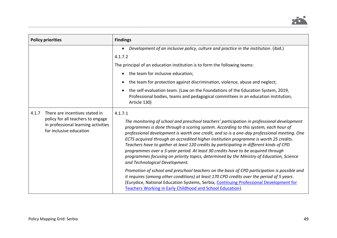

| <b>Policy priorities</b>                                                                                                                       | <b>Findings</b>                                                                                                                                                                                                                                                                                                                                                                                                                                                                                                                                                                                                                                                                                   |
|------------------------------------------------------------------------------------------------------------------------------------------------|---------------------------------------------------------------------------------------------------------------------------------------------------------------------------------------------------------------------------------------------------------------------------------------------------------------------------------------------------------------------------------------------------------------------------------------------------------------------------------------------------------------------------------------------------------------------------------------------------------------------------------------------------------------------------------------------------|
|                                                                                                                                                | Development of an inclusive policy, culture and practice in the institution. (ibid.)<br>$\bullet$<br>4.1.7.2<br>The principal of an education institution is to form the following teams:<br>the team for inclusive education;<br>the team for protection against discrimination, violence, abuse and neglect;<br>$\bullet$<br>the self-evaluation team. (Law on the Foundations of the Education System, 2019,<br>Professional bodies, teams and pedagogical committees in an education institution,<br>Article 130)                                                                                                                                                                             |
| There are incentives stated in<br>4.1.7<br>policy for all teachers to engage<br>in professional learning activities<br>for inclusive education | 4.1.7.1<br>The monitoring of school and preschool teachers' participation in professional development<br>programmes is done through a scoring system. According to this system, each hour of<br>professional development is worth one credit, and so is a one-day professional meeting. One<br>ECTS acquired through an accredited higher institution programme is worth 25 credits.<br>Teachers have to gather at least 120 credits by participating in different kinds of CPD<br>programmes over a 5-year period. At least 30 credits have to be acquired through<br>programmes focusing on priority topics, determined by the Ministry of Education, Science<br>and Technological Development. |
|                                                                                                                                                | Promotion of school and preschool teachers on the basis of CPD participation is possible and<br>it requires (among other conditions) at least 170 CPD credits over the period of 5 years.<br>(Eurydice, National Education Systems, Serbia, Continuing Professional Development for<br>Teachers Working in Early Childhood and School Education).                                                                                                                                                                                                                                                                                                                                                 |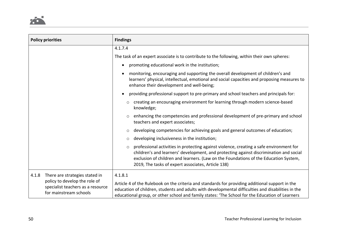

| <b>Policy priorities</b>                                                                                                                | <b>Findings</b>                                                                                                                                                                                                                                                                                                                            |
|-----------------------------------------------------------------------------------------------------------------------------------------|--------------------------------------------------------------------------------------------------------------------------------------------------------------------------------------------------------------------------------------------------------------------------------------------------------------------------------------------|
|                                                                                                                                         | 4.1.7.4                                                                                                                                                                                                                                                                                                                                    |
|                                                                                                                                         | The task of an expert associate is to contribute to the following, within their own spheres:                                                                                                                                                                                                                                               |
|                                                                                                                                         | promoting educational work in the institution;<br>$\bullet$                                                                                                                                                                                                                                                                                |
|                                                                                                                                         | monitoring, encouraging and supporting the overall development of children's and<br>learners' physical, intellectual, emotional and social capacities and proposing measures to<br>enhance their development and well-being;                                                                                                               |
|                                                                                                                                         | providing professional support to pre-primary and school teachers and principals for:                                                                                                                                                                                                                                                      |
|                                                                                                                                         | creating an encouraging environment for learning through modern science-based<br>$\circ$<br>knowledge;                                                                                                                                                                                                                                     |
|                                                                                                                                         | enhancing the competencies and professional development of pre-primary and school<br>$\circ$<br>teachers and expert associates;                                                                                                                                                                                                            |
|                                                                                                                                         | developing competencies for achieving goals and general outcomes of education;<br>$\circ$                                                                                                                                                                                                                                                  |
|                                                                                                                                         | developing inclusiveness in the institution;<br>$\circ$                                                                                                                                                                                                                                                                                    |
|                                                                                                                                         | professional activities in protecting against violence, creating a safe environment for<br>$\circ$<br>children's and learners' development, and protecting against discrimination and social<br>exclusion of children and learners. (Law on the Foundations of the Education System,<br>2019, The tasks of expert associates, Article 138) |
| There are strategies stated in<br>4.1.8<br>policy to develop the role of<br>specialist teachers as a resource<br>for mainstream schools | 4.1.8.1<br>Article 4 of the Rulebook on the criteria and standards for providing additional support in the<br>education of children, students and adults with developmental difficulties and disabilities in the<br>educational group, or other school and family states: 'The School for the Education of Learners                        |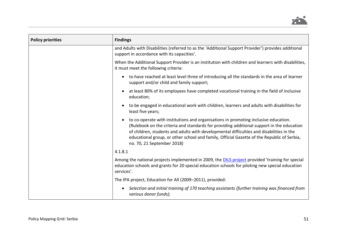

| <b>Policy priorities</b> | <b>Findings</b>                                                                                                                                                                                                                                                                                                                                                                                          |
|--------------------------|----------------------------------------------------------------------------------------------------------------------------------------------------------------------------------------------------------------------------------------------------------------------------------------------------------------------------------------------------------------------------------------------------------|
|                          | and Adults with Disabilities (referred to as the 'Additional Support Provider') provides additional<br>support in accordance with its capacities'.                                                                                                                                                                                                                                                       |
|                          | When the Additional Support Provider is an institution with children and learners with disabilities,<br>it must meet the following criteria:                                                                                                                                                                                                                                                             |
|                          | to have reached at least level three of introducing all the standards in the area of learner<br>$\bullet$<br>support and/or child and family support;                                                                                                                                                                                                                                                    |
|                          | at least 80% of its employees have completed vocational training in the field of inclusive<br>education;                                                                                                                                                                                                                                                                                                 |
|                          | to be engaged in educational work with children, learners and adults with disabilities for<br>least five years;                                                                                                                                                                                                                                                                                          |
|                          | to co-operate with institutions and organisations in promoting inclusive education.<br>(Rulebook on the criteria and standards for providing additional support in the education<br>of children, students and adults with developmental difficulties and disabilities in the<br>educational group, or other school and family, Official Gazette of the Republic of Serbia,<br>no. 70, 21 September 2018) |
|                          | 4.1.8.1                                                                                                                                                                                                                                                                                                                                                                                                  |
|                          | Among the national projects implemented in 2009, the <b>DILS</b> project provided 'training for special<br>education schools and grants for 20 special education schools for piloting new special education<br>services'.                                                                                                                                                                                |
|                          | The IPA project, Education for All (2009-2011), provided:                                                                                                                                                                                                                                                                                                                                                |
|                          | Selection and initial training of 170 teaching assistants (further training was financed from<br>$\bullet$<br>various donor funds);                                                                                                                                                                                                                                                                      |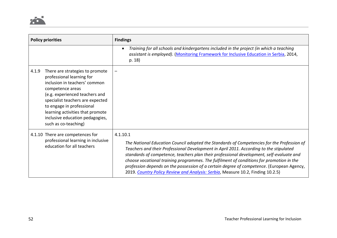| <b>Policy priorities</b>                                                                                                                                                                                                                                                                                                     | <b>Findings</b>                                                                                                                                                                                                                                                                                                                                                                                                                                                                                                                                                          |
|------------------------------------------------------------------------------------------------------------------------------------------------------------------------------------------------------------------------------------------------------------------------------------------------------------------------------|--------------------------------------------------------------------------------------------------------------------------------------------------------------------------------------------------------------------------------------------------------------------------------------------------------------------------------------------------------------------------------------------------------------------------------------------------------------------------------------------------------------------------------------------------------------------------|
|                                                                                                                                                                                                                                                                                                                              | Training for all schools and kindergartens included in the project (in which a teaching<br>assistant is employed). (Monitoring Framework for Inclusive Education in Serbia, 2014,<br>p. 18)                                                                                                                                                                                                                                                                                                                                                                              |
| 4.1.9<br>There are strategies to promote<br>professional learning for<br>inclusion in teachers' common<br>competence areas<br>(e.g. experienced teachers and<br>specialist teachers are expected<br>to engage in professional<br>learning activities that promote<br>inclusive education pedagogies,<br>such as co-teaching) |                                                                                                                                                                                                                                                                                                                                                                                                                                                                                                                                                                          |
| 4.1.10 There are competences for<br>professional learning in inclusive<br>education for all teachers                                                                                                                                                                                                                         | 4.1.10.1<br>The National Education Council adopted the Standards of Competencies for the Profession of<br>Teachers and their Professional Development in April 2011. According to the stipulated<br>standards of competence, teachers plan their professional development, self-evaluate and<br>choose vocational training programmes. The fulfilment of conditions for promotion in the<br>profession depends on the possession of a certain degree of competence. (European Agency,<br>2019. Country Policy Review and Analysis: Serbia, Measure 10.2, Finding 10.2.5) |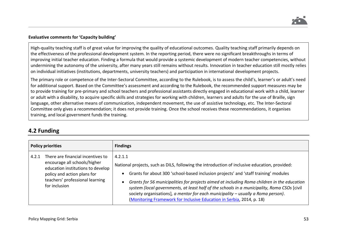### **Evaluative comments for 'Capacity building'**

High-quality teaching staff is of great value for improving the quality of educational outcomes. Quality teaching staff primarily depends on the effectiveness of the professional development system. In the reporting period, there were no significant breakthroughs in terms of improving initial teacher education. Finding a formula that would provide a systemic development of modern teacher competencies, without undermining the autonomy of the university, after many years still remains without results. Innovation in teacher education still mostly relies on individual initiatives (institutions, departments, university teachers) and participation in international development projects.

The primary role or competence of the Inter-Sectoral Committee, according to the Rulebook, is to assess the child's, learner's or adult's need for additional support. Based on the Committee's assessment and according to the Rulebook, the recommended support measures may be to provide training for pre-primary and school teachers and professional assistants directly engaged in educational work with a child, learner or adult with a disability, to acquire specific skills and strategies for working with children, learners and adults for the use of Braille, sign language, other alternative means of communication, independent movement, the use of assistive technology, etc. The Inter-Sectoral Committee only gives a recommendation; it does not provide training. Once the school receives these recommendations, it organises training, and local government funds the training.

### **4.2 Funding**

|       | <b>Policy priorities</b>                                                                                                                                                                  | <b>Findings</b>                                                                                                                                                                                                                                                                                                                                                                                                                                                                                                                                            |
|-------|-------------------------------------------------------------------------------------------------------------------------------------------------------------------------------------------|------------------------------------------------------------------------------------------------------------------------------------------------------------------------------------------------------------------------------------------------------------------------------------------------------------------------------------------------------------------------------------------------------------------------------------------------------------------------------------------------------------------------------------------------------------|
| 4.2.1 | There are financial incentives to<br>encourage all schools/higher<br>education institutions to develop<br>policy and action plans for<br>teachers' professional learning<br>for inclusion | 4.2.1.1<br>National projects, such as DILS, following the introduction of inclusive education, provided:<br>Grants for about 300 'school-based inclusion projects' and 'staff training' modules<br>Grants for 56 municipalities for projects aimed at including Roma children in the education<br>system (local governments, at least half of the schools in a municipality, Roma CSOs [civil<br>society organisations], a mentor for each municipality - usually a Roma person).<br>(Monitoring Framework for Inclusive Education in Serbia, 2014, p. 18) |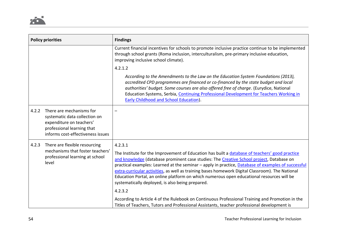|       | <b>Policy priorities</b>                                                                                                                                 | <b>Findings</b>                                                                                                                                                                                                                                                                                                                                                                                                                                                                                                                                                             |
|-------|----------------------------------------------------------------------------------------------------------------------------------------------------------|-----------------------------------------------------------------------------------------------------------------------------------------------------------------------------------------------------------------------------------------------------------------------------------------------------------------------------------------------------------------------------------------------------------------------------------------------------------------------------------------------------------------------------------------------------------------------------|
|       |                                                                                                                                                          | Current financial incentives for schools to promote inclusive practice continue to be implemented<br>through school grants (Roma inclusion, interculturalism, pre-primary inclusive education,<br>improving inclusive school climate).                                                                                                                                                                                                                                                                                                                                      |
|       |                                                                                                                                                          | 4.2.1.2                                                                                                                                                                                                                                                                                                                                                                                                                                                                                                                                                                     |
|       |                                                                                                                                                          | According to the Amendments to the Law on the Education System Foundations (2013),<br>accredited CPD programmes are financed or co-financed by the state budget and local<br>authorities' budget. Some courses are also offered free of charge. (Eurydice, National<br>Education Systems, Serbia, Continuing Professional Development for Teachers Working in<br><b>Early Childhood and School Education).</b>                                                                                                                                                              |
| 4.2.2 | There are mechanisms for<br>systematic data collection on<br>expenditure on teachers'<br>professional learning that<br>informs cost-effectiveness issues |                                                                                                                                                                                                                                                                                                                                                                                                                                                                                                                                                                             |
| 4.2.3 | There are flexible resourcing<br>mechanisms that foster teachers'<br>professional learning at school<br>level                                            | 4.2.3.1<br>The Institute for the Improvement of Education has built a database of teachers' good practice<br>and knowledge (database prominent case studies: The Creative School project, Database on<br>practical examples: Learned at the seminar - apply in practice, Database of examples of successful<br>extra-curricular activities, as well as training bases homework Digital Classroom). The National<br>Education Portal, an online platform on which numerous open educational resources will be<br>systematically deployed, is also being prepared.<br>4.2.3.2 |
|       |                                                                                                                                                          | According to Article 4 of the Rulebook on Continuous Professional Training and Promotion in the<br>Titles of Teachers, Tutors and Professional Assistants, teacher professional development is                                                                                                                                                                                                                                                                                                                                                                              |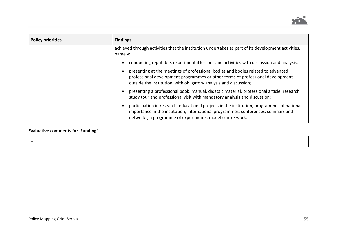

| <b>Policy priorities</b> | <b>Findings</b>                                                                                                                                                                                                                                      |
|--------------------------|------------------------------------------------------------------------------------------------------------------------------------------------------------------------------------------------------------------------------------------------------|
|                          | achieved through activities that the institution undertakes as part of its development activities,<br>namely:                                                                                                                                        |
|                          | conducting reputable, experimental lessons and activities with discussion and analysis;<br>$\bullet$                                                                                                                                                 |
|                          | presenting at the meetings of professional bodies and bodies related to advanced<br>$\bullet$<br>professional development programmes or other forms of professional development<br>outside the institution, with obligatory analysis and discussion; |
|                          | presenting a professional book, manual, didactic material, professional article, research,<br>$\bullet$<br>study tour and professional visit with mandatory analysis and discussion;                                                                 |
|                          | participation in research, educational projects in the institution, programmes of national<br>importance in the institution, international programmes, conferences, seminars and<br>networks, a programme of experiments, model centre work.         |

### **Evaluative comments for 'Funding'**

–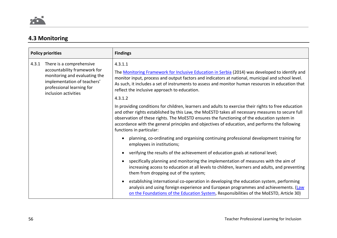### **4.3 Monitoring**

|       | <b>Policy priorities</b>                                                                                                                                                      | <b>Findings</b>                                                                                                                                                                                                                                                                                                                                                                                                                      |
|-------|-------------------------------------------------------------------------------------------------------------------------------------------------------------------------------|--------------------------------------------------------------------------------------------------------------------------------------------------------------------------------------------------------------------------------------------------------------------------------------------------------------------------------------------------------------------------------------------------------------------------------------|
| 4.3.1 | There is a comprehensive<br>accountability framework for<br>monitoring and evaluating the<br>implementation of teachers'<br>professional learning for<br>inclusion activities | 4.3.1.1<br>The Monitoring Framework for Inclusive Education in Serbia (2014) was developed to identify and<br>monitor input, process and output factors and indicators at national, municipal and school level.<br>As such, it includes a set of instruments to assess and monitor human resources in education that<br>reflect the inclusive approach to education.<br>4.3.1.2                                                      |
|       |                                                                                                                                                                               | In providing conditions for children, learners and adults to exercise their rights to free education<br>and other rights established by this Law, the MoESTD takes all necessary measures to secure full<br>observation of these rights. The MoESTD ensures the functioning of the education system in<br>accordance with the general principles and objectives of education, and performs the following<br>functions in particular: |
|       |                                                                                                                                                                               | planning, co-ordinating and organising continuing professional development training for<br>employees in institutions;                                                                                                                                                                                                                                                                                                                |
|       |                                                                                                                                                                               | verifying the results of the achievement of education goals at national level;                                                                                                                                                                                                                                                                                                                                                       |
|       |                                                                                                                                                                               | specifically planning and monitoring the implementation of measures with the aim of<br>increasing access to education at all levels to children, learners and adults, and preventing<br>them from dropping out of the system;                                                                                                                                                                                                        |
|       |                                                                                                                                                                               | establishing international co-operation in developing the education system, performing<br>analysis and using foreign experience and European programmes and achievements. (Law<br>on the Foundations of the Education System, Responsibilities of the MoESTD, Article 30)                                                                                                                                                            |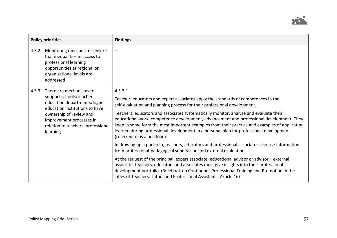

|       | <b>Policy priorities</b>                                                                                                                                                                                                                                                                                                                                                                                                                                                                           | <b>Findings</b>                                                                                                                                                                                                                                                                                                                                                                                                                                                     |
|-------|----------------------------------------------------------------------------------------------------------------------------------------------------------------------------------------------------------------------------------------------------------------------------------------------------------------------------------------------------------------------------------------------------------------------------------------------------------------------------------------------------|---------------------------------------------------------------------------------------------------------------------------------------------------------------------------------------------------------------------------------------------------------------------------------------------------------------------------------------------------------------------------------------------------------------------------------------------------------------------|
| 4.3.2 | Monitoring mechanisms ensure<br>that inequalities in access to<br>professional learning<br>opportunities at regional or<br>organisational levels are<br>addressed                                                                                                                                                                                                                                                                                                                                  | —                                                                                                                                                                                                                                                                                                                                                                                                                                                                   |
| 4.3.3 | There are mechanisms to<br>4.3.3.1<br>support schools/teacher<br>education departments/higher<br>self-evaluation and planning process for their professional development.<br>education institutions to have<br>ownership of review and<br>improvement processes in<br>relation to teachers' professional<br>learning<br>(referred to as a portfolio).<br>from professional-pedagogical supervision and external evaluation.<br>Titles of Teachers, Tutors and Professional Assistants, Article 16) | Teacher, educators and expert associates apply the standards of competences in the<br>Teachers, educators and associates systematically monitor, analyse and evaluate their<br>educational work, competence development, advancement and professional development. They<br>keep in some form the most important examples from their practice and examples of application<br>learned during professional development in a personal plan for professional development |
|       |                                                                                                                                                                                                                                                                                                                                                                                                                                                                                                    | In drawing up a portfolio, teachers, educators and professional associates also use information                                                                                                                                                                                                                                                                                                                                                                     |
|       |                                                                                                                                                                                                                                                                                                                                                                                                                                                                                                    | At the request of the principal, expert associate, educational advisor or advisor – external<br>associate, teachers, educators and associates must give insights into their professional<br>development portfolio. (Rulebook on Continuous Professional Training and Promotion in the                                                                                                                                                                               |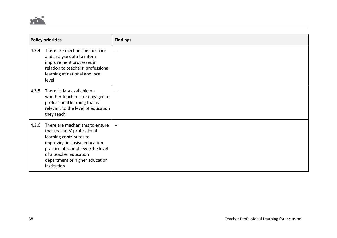

|       | <b>Policy priorities</b>                                                                                                                                                                                                                   | <b>Findings</b>          |
|-------|--------------------------------------------------------------------------------------------------------------------------------------------------------------------------------------------------------------------------------------------|--------------------------|
| 4.3.4 | There are mechanisms to share<br>and analyse data to inform<br>improvement processes in<br>relation to teachers' professional<br>learning at national and local<br>level                                                                   | $\overline{\phantom{0}}$ |
| 4.3.5 | There is data available on<br>whether teachers are engaged in<br>professional learning that is<br>relevant to the level of education<br>they teach                                                                                         |                          |
| 4.3.6 | There are mechanisms to ensure<br>that teachers' professional<br>learning contributes to<br>improving inclusive education<br>practice at school level/the level<br>of a teacher education<br>department or higher education<br>institution |                          |